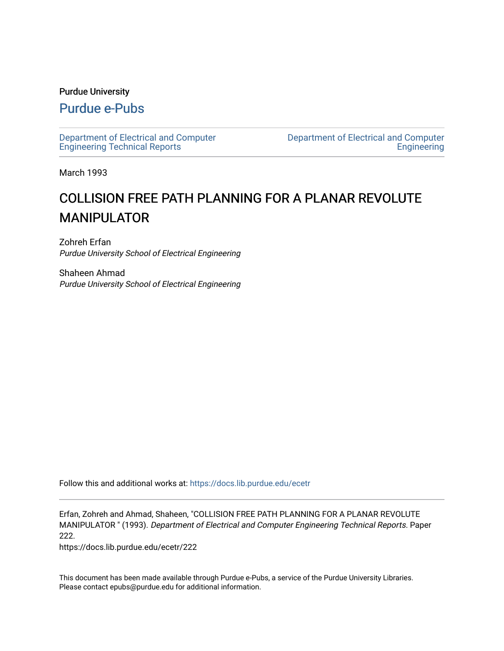#### Purdue University

# [Purdue e-Pubs](https://docs.lib.purdue.edu/)

[Department of Electrical and Computer](https://docs.lib.purdue.edu/ecetr)  [Engineering Technical Reports](https://docs.lib.purdue.edu/ecetr)

[Department of Electrical and Computer](https://docs.lib.purdue.edu/ece)  **Engineering** 

March 1993

# COLLISION FREE PATH PLANNING FOR A PLANAR REVOLUTE MANIPULATOR

Zohreh Erfan Purdue University School of Electrical Engineering

Shaheen Ahmad Purdue University School of Electrical Engineering

Follow this and additional works at: [https://docs.lib.purdue.edu/ecetr](https://docs.lib.purdue.edu/ecetr?utm_source=docs.lib.purdue.edu%2Fecetr%2F222&utm_medium=PDF&utm_campaign=PDFCoverPages)

Erfan, Zohreh and Ahmad, Shaheen, "COLLISION FREE PATH PLANNING FOR A PLANAR REVOLUTE MANIPULATOR " (1993). Department of Electrical and Computer Engineering Technical Reports. Paper 222.

https://docs.lib.purdue.edu/ecetr/222

This document has been made available through Purdue e-Pubs, a service of the Purdue University Libraries. Please contact epubs@purdue.edu for additional information.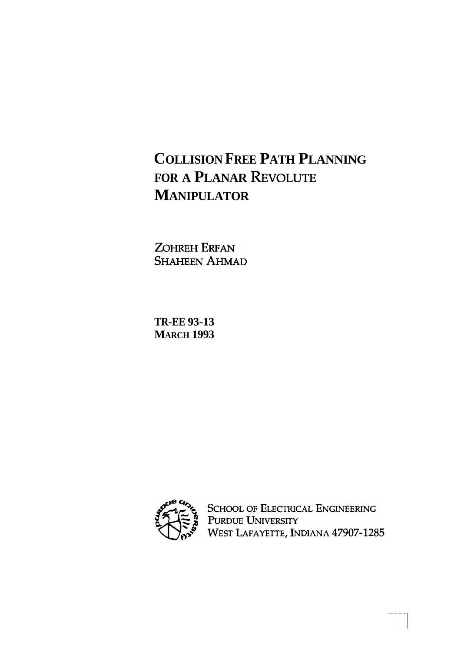# **COLLISION FREE PATH PLANNING FOR A PLANAR REVOLUTE MANIPULATOR**

ZOHREH ERFAN **SHAHEEN AHMAD** 

**TR-EE 93-13 MARCH 1993** 



SCHOOL OF ELECTRICAL ENGINEERING<br>PURDUE UNIVERSITY<br>WEST LAFAYETTE, INDIANA 47907-1285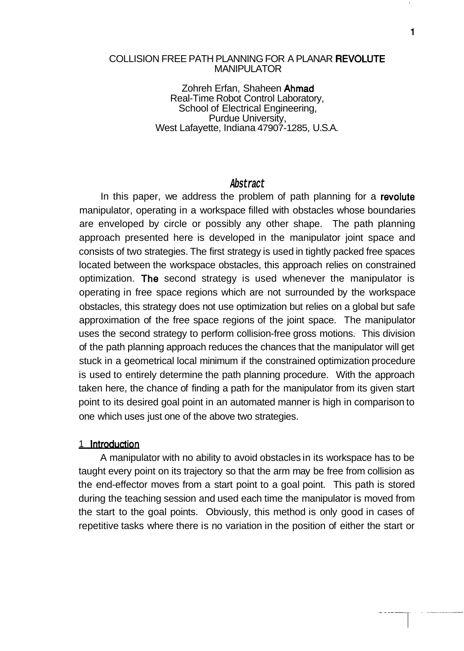#### COLLISION FREE PATH PLANNING FOR A PLANAR REVOLUTE MANIPULATOR

Zohreh Erfan, Shaheen Ahmad Real-Time Robot Control Laboratory, School of Electrical Engineering, Purdue University, West Lafayette, Indiana 47907-1285, U.S.A.

#### **Abstract**

In this paper, we address the problem of path planning for a revolute manipulator, operating in a workspace filled with obstacles whose boundaries are enveloped by circle or possibly any other shape. The path planning approach presented here is developed in the manipulator joint space and consists of two strategies. The first strategy is used in tightly packed free spaces located between the workspace obstacles, this approach relies on constrained optimization. The second strategy is used whenever the manipulator is operating in free space regions which are not surrounded by the workspace obstacles, this strategy does not use optimization but relies on a global but safe approximation of the free space regions of the joint space. The manipulator uses the second strategy to perform collision-free gross motions. This division of the path planning approach reduces the chances that the manipulator will get stuck in a geometrical local minimum if the constrained optimization procedure is used to entirely determine the path planning procedure. With the approach taken here, the chance of finding a path for the manipulator from its given start point to its desired goal point in an automated manner is high in comparison to one which uses just one of the above two strategies.

#### 1 **Introduction**

A manipulator with no ability to avoid obstacles in its workspace has to be taught every point on its trajectory so that the arm may be free from collision as the end-effector moves from a start point to a goal point. This path is stored during the teaching session and used each time the manipulator is moved from the start to the goal points. Obviously, this method is only good in cases of repetitive tasks where there is no variation in the position of either the start or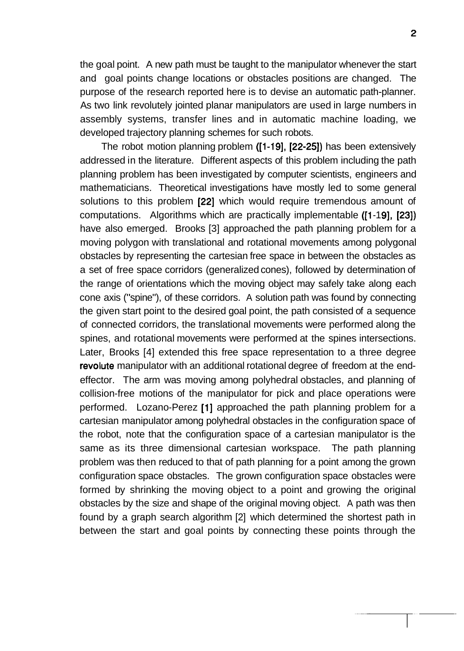the goal point. A new path must be taught to the manipulator whenever the start and goal points change locations or obstacles positions are changed. The purpose of the research reported here is to devise an automatic path-planner. As two link revolutely jointed planar manipulators are used in large numbers in assembly systems, transfer lines and in automatic machine loading, we developed trajectory planning schemes for such robots.

The robot motion planning problem ([I -191, [22-251) has been extensively addressed in the literature. Different aspects of this problem including the path planning problem has been investigated by computer scientists, engineers and mathematicians. Theoretical investigations have mostly led to some general solutions to this problem [22] which would require tremendous amount of computations. Algorithms which are practically implementable ([1-19], [23]) have also emerged. Brooks [3] approached the path planning problem for a moving polygon with translational and rotational movements among polygonal obstacles by representing the cartesian free space in between the obstacles as a set of free space corridors (generalized cones), followed by determination of the range of orientations which the moving object may safely take along each cone axis ("spine"), of these corridors. A solution path was found by connecting the given start point to the desired goal point, the path consisted of a sequence of connected corridors, the translational movements were performed along the spines, and rotational movements were performed at the spines intersections. Later, Brooks [4] extended this free space representation to a three degree revolute manipulator with an additional rotational degree of freedom at the endeffector. The arm was moving among polyhedral obstacles, and planning of collision-free motions of the manipulator for pick and place operations were performed. Lozano-Perez [I] approached the path planning problem for a cartesian manipulator among polyhedral obstacles in the configuration space of the robot, note that the configuration space of a cartesian manipulator is the same as its three dimensional cartesian workspace. The path planning problem was then reduced to that of path planning for a point among the grown configuration space obstacles. The grown configuration space obstacles were formed by shrinking the moving object to a point and growing the original obstacles by the size and shape of the original moving object. A path was then found by a graph search algorithm [2] which determined the shortest path in between the start and goal points by connecting these points through the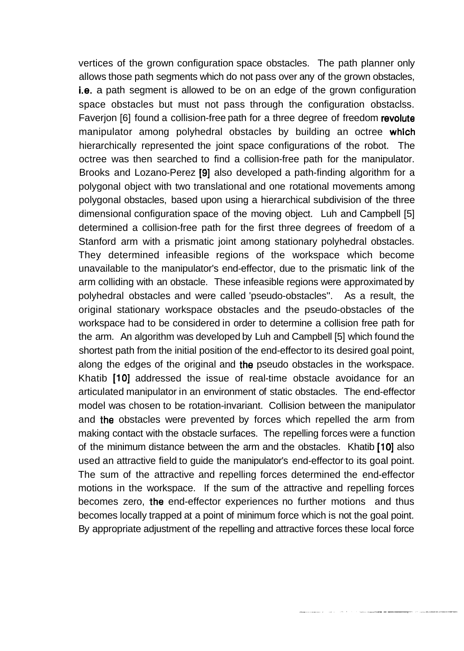vertices of the grown configuration space obstacles. The path planner only allows those path segments which do not pass over any of the grown obstacles, i.e. a path segment is allowed to be on an edge of the grown configuration space obstacles but must not pass through the configuration obstaclss. Faverjon [6] found a collision-free path for a three degree of freedom revolute manipulator among polyhedral obstacles by building an octree which hierarchically represented the joint space configurations of the robot. The octree was then searched to find a collision-free path for the manipulator. Brooks and Lozano-Perez (91 also developed a path-finding algorithm for a polygonal object with two translational and one rotational movements among polygonal obstacles, based upon using a hierarchical subdivision of the three dimensional configuration space of the moving object. Luh and Campbell [5] determined a collision-free path for the first three degrees of freedom of a Stanford arm with a prismatic joint among stationary polyhedral obstacles. They determined infeasible regions of the workspace which become unavailable to the manipulator's end-effector, due to the prismatic link of the arm colliding with an obstacle. These infeasible regions were approximated by polyhedral obstacles and were called 'pseudo-obstacles". As a result, the original stationary workspace obstacles and the pseudo-obstacles of the workspace had to be considered in order to determine a collision free path for the arm. An algorithm was developed by Luh and Campbell [5] which found the shortest path from the initial position of the end-effector to its desired goal point, along the edges of the original and the pseudo obstacles in the workspace. Khatib [10] addressed the issue of real-time obstacle avoidance for an articulated manipulator in an environment of static obstacles. The end-effector model was chosen to be rotation-invariant. Collision between the manipulator and the obstacles were prevented by forces which repelled the arm from making contact with the obstacle surfaces. The repelling forces were a function of the minimum distance between the arm and the obstacles. Khatib [10] also used an attractive field to guide the manipulator's end-effector to its goal point. The sum of the attractive and repelling forces determined the end-effector motions in the workspace. If the sum of the attractive and repelling forces becomes zero, the end-effector experiences no further motions and thus becomes locally trapped at a point of minimum force which is not the goal point. By appropriate adjustment of the repelling and attractive forces these local force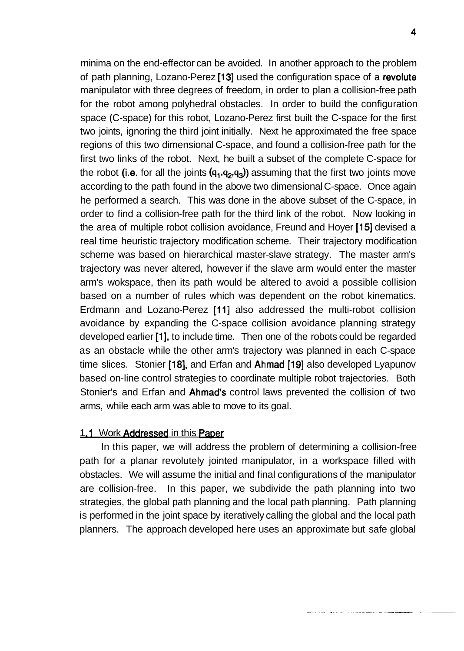minima on the end-effector can be avoided. In another approach to the problem of path planning, Lozano-Perez [13] used the configuration space of a revolute manipulator with three degrees of freedom, in order to plan a collision-free path for the robot among polyhedral obstacles. In order to build the configuration space (C-space) for this robot, Lozano-Perez first built the C-space for the first two joints, ignoring the third joint initially. Next he approximated the free space regions of this two dimensional C-space, and found a collision-free path for the first two links of the robot. Next, he built a subset of the complete C-space for the robot (i.e. for all the joints  $(q_1,q_2,q_3)$ ) assuming that the first two joints move according to the path found in the above two dimensional C-space. Once again he performed a search. This was done in the above subset of the C-space, in order to find a collision-free path for the third link of the robot. Now looking in the area of multiple robot collision avoidance, Freund and Hoyer [15] devised a real time heuristic trajectory modification scheme. Their trajectory modification scheme was based on hierarchical master-slave strategy. The master arm's trajectory was never altered, however if the slave arm would enter the master arm's wokspace, then its path would be altered to avoid a possible collision based on a number of rules which was dependent on the robot kinematics. Erdmann and Lozano-Perez [11] also addressed the multi-robot collision avoidance by expanding the C-space collision avoidance planning strategy developed earlier [I], to include time. Then one of the robots could be regarded as an obstacle while the other arm's trajectory was planned in each C-space time slices. Stonier [18], and Erfan and Ahmad **[I91** also developed Lyapunov based on-line control strategies to coordinate multiple robot trajectories. Both Stonier's and Erfan and Ahmad's control laws prevented the collision of two arms, while each arm was able to move to its goal.

#### 1.1 Work Addressed in this Paper

In this paper, we will address the problem of determining a collision-free path for a planar revolutely jointed manipulator, in a workspace filled with obstacles. We will assume the initial and final configurations of the manipulator are collision-free. In this paper, we subdivide the path planning into two strategies, the global path planning and the local path planning. Path planning is performed in the joint space by iteratively calling the global and the local path planners. The approach developed here uses an approximate but safe global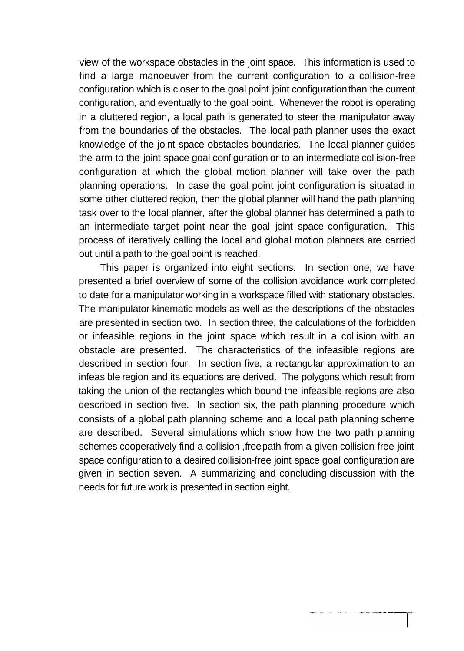view of the workspace obstacles in the joint space. This information is used to find a large manoeuver from the current configuration to a collision-free configuration which is closer to the goal point joint configuration than the current configuration, and eventually to the goal point. Whenever the robot is operating in a cluttered region, a local path is generated to steer the manipulator away from the boundaries of the obstacles. The local path planner uses the exact knowledge of the joint space obstacles boundaries. The local planner guides the arm to the joint space goal configuration or to an intermediate collision-free configuration at which the global motion planner will take over the path planning operations. In case the goal point joint configuration is situated in some other cluttered region, then the global planner will hand the path planning task over to the local planner, after the global planner has determined a path to an intermediate target point near the goal joint space configuration. This process of iteratively calling the local and global motion planners are carried out until a path to the goal point is reached.

This paper is organized into eight sections. In section one, we have presented a brief overview of some of the collision avoidance work completed to date for a manipulator working in a workspace filled with stationary obstacles. The manipulator kinematic models as well as the descriptions of the obstacles are presented in section two. In section three, the calculations of the forbidden or infeasible regions in the joint space which result in a collision with an obstacle are presented. The characteristics of the infeasible regions are described in section four. In section five, a rectangular approximation to an infeasible region and its equations are derived. The polygons which result from taking the union of the rectangles which bound the infeasible regions are also described in section five. In section six, the path planning procedure which consists of a global path planning scheme and a local path planning scheme are described. Several simulations which show how the two path planning schemes cooperatively find a collision-,free path from a given collision-free joint space configuration to a desired collision-free joint space goal configuration are given in section seven. A summarizing and concluding discussion with the needs for future work is presented in section eight.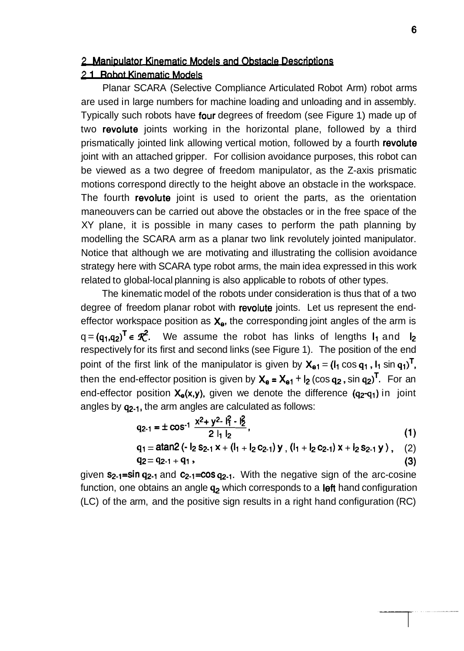#### 2 Manipulator Kinematic Models and Obstacle Descriptions

#### 2.1 Robot Kinematic Models

Planar SCARA (Selective Compliance Articulated Robot Arm) robot arms are used in large numbers for machine loading and unloading and in assembly. Typically such robots have four degrees of freedom (see Figure 1) made up of two revolute joints working in the horizontal plane, followed by a third prismatically jointed link allowing vertical motion, followed by a fourth revolute joint with an attached gripper. For collision avoidance purposes, this robot can be viewed as a two degree of freedom manipulator, as the Z-axis prismatic motions correspond directly to the height above an obstacle in the workspace. The fourth revolute joint is used to orient the parts, as the orientation maneouvers can be carried out above the obstacles or in the free space of the XY plane, it is possible in many cases to perform the path planning by modelling the SCARA arm as a planar two link revolutely jointed manipulator. Notice that although we are motivating and illustrating the collision avoidance strategy here with SCARA type robot arms, the main idea expressed in this work related to global-local planning is also applicable to robots of other types.

The kinematic model of the robots under consideration is thus that of a two degree of freedom planar robot with revolute joints. Let us represent the endeffector workspace position as  $X_e$ , the corresponding joint angles of the arm is  $q = (q_1,q_2)^T \in \mathcal{R}^2$ . We assume the robot has links of lengths  $I_1$  and  $I_2$ respectively for its first and second links (see Figure 1). The position of the end point of the first link of the manipulator is given by  $X_{01} = (I_1 \cos q_1, I_1 \sin q_1)^T$ , then the end-effector position is given by  $X_e = X_{e1} + I_2$  (cos  $q_2$ , sin  $q_2$ )<sup>T</sup>. For an end-effector position  $X_{\theta}(x,y)$ , given we denote the difference  $(q_2-q_1)$  in joint angles by q2.1, the arm angles are calculated as follows:

$$
q_{2\cdot 1} = \pm \cos^{-1} \frac{x^2 + y^2 - i_1^2 - i_2^2}{2 |1|_2},
$$
 (1)

$$
q_1 = \text{atan2} (-1_2 s_{2\cdot 1} x + (1_1 + 1_2 c_{2\cdot 1}) y , (1_1 + 1_2 c_{2\cdot 1}) x + 1_2 s_{2\cdot 1} y ), (2)
$$
  
 
$$
q_2 = q_{2\cdot 1} + q_1 ,
$$
 (3)

given  $s_{2-1}$ =sin  $q_{2-1}$  and  $c_{2-1}$ =cos  $q_{2-1}$ . With the negative sign of the arc-cosine function, one obtains an angle  $q<sub>2</sub>$  which corresponds to a left hand configuration (LC) of the arm, and the positive sign results in a right hand configuration (RC)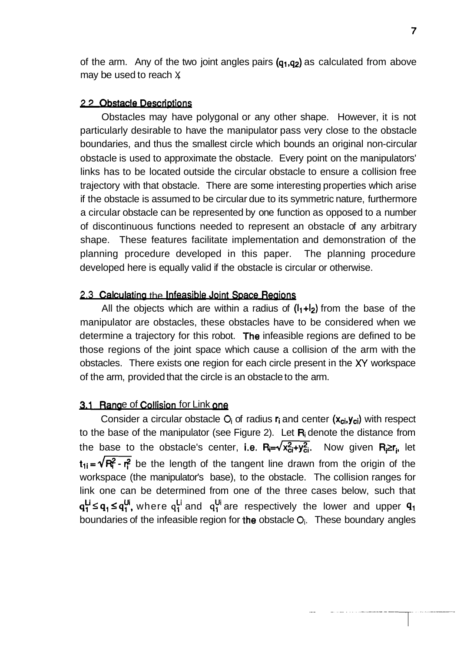of the arm. Any of the two joint angles pairs  $(q_1,q_2)$  as calculated from above may be used to reach  $X$ 

#### **22 Obstacle Descriptions**

Obstacles may have polygonal or any other shape. However, it is not particularly desirable to have the manipulator pass very close to the obstacle boundaries, and thus the smallest circle which bounds an original non-circular obstacle is used to approximate the obstacle. Every point on the manipulators' links has to be located outside the circular obstacle to ensure a collision free trajectory with that obstacle. There are some interesting properties which arise if the obstacle is assumed to be circular due to its symmetric nature, furthermore a circular obstacle can be represented by one function as opposed to a number of discontinuous functions needed to represent an obstacle of any arbitrary shape. These features facilitate implementation and demonstration of the planning procedure developed in this paper. The planning procedure developed here is equally valid if the obstacle is circular or otherwise.

#### 2.3 Calculating the Infeasible Joint Space Regions

All the objects which are within a radius of  $(1_1+1_2)$  from the base of the manipulator are obstacles, these obstacles have to be considered when we determine a trajectory for this robot. 'The infeasible regions are defined to be those regions of the joint space which cause a collision of the arm with the obstacles. There exists one region for each circle present in the XY workspace of the arm, provided that the circle is an obstacle to the arm.

#### 3.1 Range of Collision for Link one

Consider a circular obstacle O<sub>i</sub> of radius r<sub>i</sub> and center (x<sub>ci</sub>,y<sub>ci</sub>) with respect to the base of the manipulator (see Figure 2). Let  $R_i$  denote the distance from the base to the obstacle's center, i.e.  $R_i = \sqrt{x_{ci}^2 + y_{ci}^2}$ . Now given  $R_i \ge r_i$ , let  $t_{1i} = \sqrt{R_i^2 - r_i^2}$  be the length of the tangent line drawn from the origin of the workspace (the manipulator's base), to the obstacle. The collision ranges for link one can be determined from one of the three cases below, such that  $q_1^{Li} \leq q_1 \leq q_1^{Ui}$ , where  $q_1^{Li}$  and  $q_1^{Ui}$  are respectively the lower and upper  $q_1$ boundaries of the infeasible region for the obstacle **Oi.** These boundary angles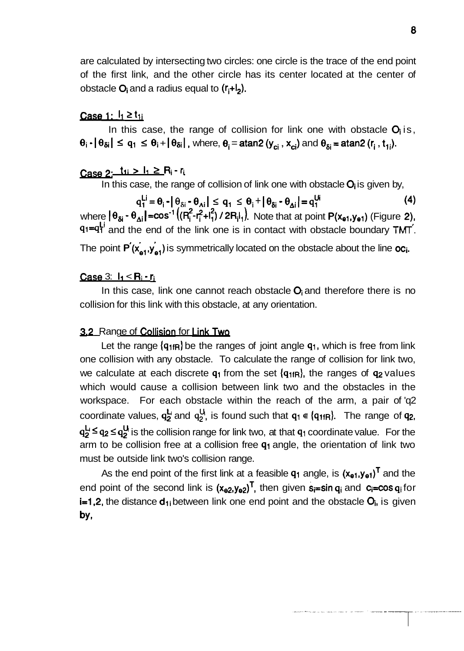are calculated by intersecting two circles: one circle is the trace of the end point of the first link, and the other circle has its center located at the center of obstacle  $O_i$  and a radius equal to  $(r_i+1)$ .

#### <u>Case 1:  $I_1$  ≥ t<sub>1i</sub></u>

In this case, the range of collision for link one with obstacle  $O_i$  is,  $\theta_i$   $\cdot$   $\vert \theta_{\delta i} \vert \leq q_1 \leq \theta_i + \vert \theta_{\delta i} \vert$ , where,  $\theta_i = \text{atan2 } (y_{ci}, x_{ci})$  and  $\theta_{\delta i} = \text{atan2 } (r_i, t_{1i}).$ 

# Case 2: tu > l<sub>1</sub> ≥ R<sub>i</sub> - r<sub>i</sub>

In this case, the range of collision of link one with obstacle  $O_i$  is given by,

 $q_1^{\mathsf{Li}} = \theta_i - |\theta_{\delta i} - \theta_{\Delta i}| \leq q_1 \leq \theta_i + |\theta_{\delta i} - \theta_{\Delta i}| = q_1^{\mathsf{U}i}$  (4) where  $|\theta_{\delta i} \cdot \theta_{\Delta i}|$ = $\cos^{-1}((R_i^2 - R_i^2 + R_i^2) / 2R_iR_i)$ . Note that at point  $P(x_{e1}, y_{e1})$  (Figure 2),  $91=9\frac{1}{1}$  and the end of the link one is in contact with obstacle boundary  $TMT$ . , **<sup>I</sup>** The point  $P(x_{a1},y_{a1})$  is symmetrically located on the obstacle about the line oc<sub>i</sub>.

#### Case  $3: I_1 < R_1 - r_1$

In this case, link one cannot reach obstacle  $O_i$  and therefore there is no collision for this link with this obstacle, at any orientation.

#### 3.2 Range of Collision for Link Two

Let the range  $\{q_{1fR}\}$  be the ranges of joint angle  $q_1$ , which is free from link one collision with any obstacle. To calculate the range of collision for link two, we calculate at each discrete  $q_1$  from the set  $\{q_{1fR}\}\$ , the ranges of  $q_2$  values which would cause a collision between link two and the obstacles in the workspace. For each obstacle within the reach of the arm, a pair of 'q2 coordinate values,  $q_2^L$  and  $q_2^U$ , is found such that  $q_1 \in \{q_{1fR}\}\$ . The range of  $q_2$ ,  $q_2^L \leq q_2 \leq q_2^U$  is the collision range for link two, at that  $q_1$  coordinate value. For the arm to be collision free at a collision free  $q_1$  angle, the orientation of link two must be outside link two's collision range.

As the end point of the first link at a feasible  $q_1$  angle, is  $(x_{e1},y_{e1})^T$  and the end point of the second link is  $(x_{e2},y_{e2})^T$ , then given  $s_i=sin q_i$  and  $c_i=cos q_i$  for i=1,2, the distance d<sub>1</sub> between link one end point and the obstacle O<sub>i</sub>, is given by,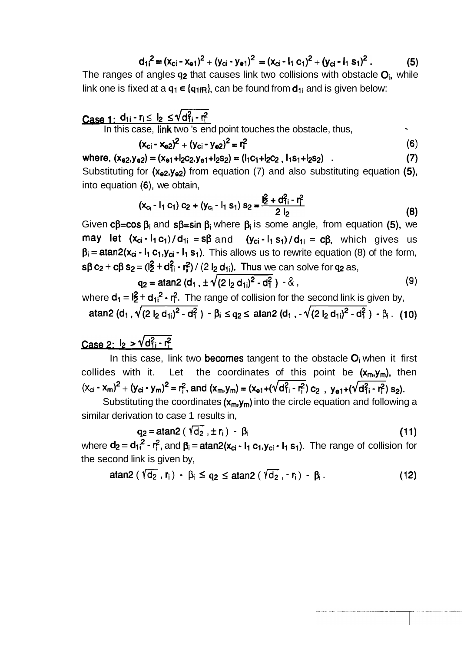$$
d_{1i}^{2} = (x_{ci} - x_{e1})^{2} + (y_{ci} - y_{e1})^{2} = (x_{ci} - I_{1} c_{1})^{2} + (y_{ci} - I_{1} s_{1})^{2}. \qquad (5)
$$

The ranges of angles  $q_2$  that causes link two collisions with obstacle  $Q_i$ , while link one is fixed at a  $q_1 \in \{q_{1fR}\}\)$  can be found from  $d_{1i}$  and is given below:

**Case 1:** 
$$
d_{1i} \cdot r_i \leq l_2 \leq \sqrt{d_{1i}^2 \cdot r_i^2}
$$
  
In this case, **link** two 's end point touches the obstacle, thus,

$$
(x_{ci} - x_{e2})^2 + (y_{ci} - y_{e2})^2 = r_1^2
$$
 (6)

where, 
$$
(x_{e2}, y_{e2}) = (x_{e1}+12c_2, y_{e1}+12s_2) = (1_1c_1+12c_2, 1_1s_1+12s_2)
$$
 (7)

Substituting for  $(x_{e2},y_{e2})$  from equation (7) and also substituting equation (5), into equation **(6),** we obtain,

$$
(\mathbf{x}_{c_1} - \mathbf{I}_1 \mathbf{c}_1) \mathbf{c}_2 + (\mathbf{y}_{c_1} - \mathbf{I}_1 \mathbf{s}_1) \mathbf{s}_2 = \frac{\mathbf{I}_2^2 + \mathbf{d}_{11}^2 - \mathbf{r}_1^2}{2 \mathbf{I}_2}
$$
 (8)

Given c $\beta$ =cos  $\beta_i$  and s $\beta$ =sin  $\beta_i$  where  $\beta_i$  is some angle, from equation (5), we may let  $(x_{ci} \cdot I_1 c_1) / d_{1i} = s\beta$  and  $(y_{ci} \cdot I_1 s_1) / d_{1i} = c\beta$ , which gives us  $\beta_i = \text{atan2}(x_{ci} \cdot I_1 c_1, y_{ci} \cdot I_1 s_1)$ . This allows us to rewrite equation (8) of the form,  $s\beta$  c<sub>2</sub> + c $\beta$  s<sub>2</sub> = ( $\frac{1}{2}$  + d<sub>1</sub><sup>2</sup> + d<sub>1</sub><sup>2</sup> + d<sub>1</sub><sup>2</sup>) / (2 l<sub>2</sub> d<sub>1</sub><sub>i</sub>). Thus we can solve for q<sub>2</sub> as,

$$
q_2 = \text{atan2} (d_1, \pm \sqrt{(2 |_2 d_{1i})^2 - d_1^2}) - 8 , \qquad (9)
$$

where  $\mathbf{d}_1 = \mathbf{12} + \mathbf{d}_{11}^2 \cdot \mathbf{r}_1^2$ . The range of collision for the second link is given by, atan2 (d<sub>1</sub>,  $\sqrt{(2 |_2 d_{1i})^2 - d_1^2}$ ) -  $\beta_i \leq q_2 \leq \text{atan2 (d_1, -}\sqrt{(2 |_2 d_{1i})^2 - d_1^2}) - \beta_i$ . (10)

# Case 2:  $I_2 > \sqrt{d_{11}^2 - r_1^2}$

In this case, link two becomes tangent to the obstacle  $O_i$  when it first collides with it. Let the coordinates of this point be  $(x_m, y_m)$ , then  $(x_{ci} - x_m)^2 + (y_{ci} - y_m)^2 = r_f^2$ , and  $(x_m, y_m) = (x_{e1} + (\sqrt{d_{1i}^2 - r_f^2}) c_2$ ,  $y_{e1} + (\sqrt{d_{1i}^2 - r_f^2}) s_2$ .

Substituting the coordinates  $(x_m, y_m)$  into the circle equation and following a similar derivation to case 1 results in, tion to case 1 results in,<br> $q_2 = \text{atan2} (\sqrt{d_2}, \pm r_i) - \beta_i$  (11)

$$
q_2 = \text{atan2} \left( \sqrt[4]{d_2}, \pm r_i \right) - \beta_i \tag{11}
$$

where  $d_2 = d_{1i}^2 - r_i^2$ , and  $\beta_i = \text{atan2}(x_{ci} - I_1 c_1, y_{ci} - I_1 s_1)$ . The range of collision for the second link is given by,

cond link is given by,  
atan2 ( 
$$
\sqrt{d_2}
$$
, **r**<sub>i</sub>) - β<sub>i</sub> ≤ q<sub>2</sub> ≤ atan2 (  $\sqrt{d_2}$ , - **r**<sub>i</sub>) - β<sub>i</sub>. (12)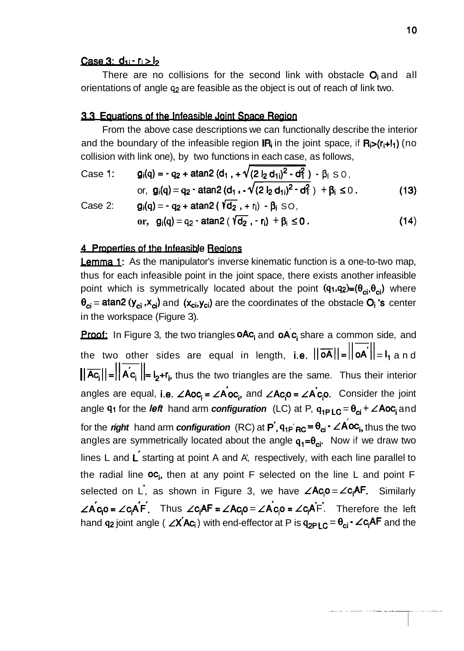#### <u>Case 3: d<sub>1i</sub> - r<sub>i</sub> > l<sub>2</sub></u>

There are no collisions for the second link with obstacle  $O_i$  and all orientations of angle **q2** are feasible as the object is out of reach of link two.

#### 3.3 Equations of the Infeasible Joint Space Region

From the above case descriptions we can functionally describe the interior and the boundary of the infeasible region  $IR_i$  in the joint space, if  $R_i>(r_i+l_1)$  (no collision with link one), by two functions in each case, as follows,

Case 1: 
$$
g_i(q) = -q_2 + \text{atan2} (d_1, + \sqrt{(2 l_2 d_{1i})^2 - d_1^2}) - \beta_i
$$
 s 0,  
or,  $g_i(q) = q_2 - \text{atan2} (d_1 - \sqrt{(2 l_2 d_{1i})^2 - d_1^2}) + \beta_i$  ≤ 0. (13)

Case 2: 
$$
g_i(q) = -q_2 + \text{atan2} (\sqrt{d_2}, + r_i) - \beta_i \text{ SO},
$$
  
or,  $g_i(q) = q_2 - \text{atan2} (\sqrt{d_2}, -r_i) + \beta_i \le 0.$  (14)

#### 4 Properties of the Infeasible Regions

**Lemma 1:** As the manipulator's inverse kinematic function is a one-to-two map, thus for each infeasible point in the joint space, there exists another infeasible point which is symmetrically located about the point  $(q_1,q_2)=(\theta_{ci},\theta_{ci})$  where  $\theta_{ci}$  = atan2 ( $y_{ci}$ , $x_{ci}$ ) and ( $x_{ci}$ , $y_{ci}$ ) are the coordinates of the obstacle  $O_i$  's center in the workspace (Figure 3).

**Proof:** In Figure 3, the two triangles  $\alpha A c_i$  and  $\alpha A c_i$  share a common side, and the two other sides are equal in length, i.e.  $||\overrightarrow{oA}||=||\overrightarrow{oA}||=I_1$  and the two other sides are equal in length, i.e.  $||\overrightarrow{OA}|| = ||\overrightarrow{OA}|| = I_1$  and  $||\overrightarrow{AC_i}|| = ||\overrightarrow{AC_i}|| = I_2 + r_i$ , thus the two triangles are the same. Thus their interior angles are equal, i.e.  $\angle Aoc_i = \angle Aoc_i$ , and  $\angle Ac_io = \angle Acc_i$ . Consider the joint angle **q**<sub>1</sub> for the *left* hand arm **configuration** (LC) at P,  $q_{1P LC} = \theta_{ci} + \angle Aoc_i$  and for the *right* hand arm **configuration** (RC) at  $P'$ ,  $q_{1P' RC} = \theta_{ci} - \angle Aoc_i$ , thus the two for the *right* hand arm *configuration* (RC) at  $P'$ ,  $q_{1P}'$ <sub>RC</sub> =  $\theta_{ci}$  -  $\angle$  A<sup>oc</sup><sub>i</sub>, thus the two angles are symmetrically located about the angle  $q_1 = \theta_{ci}$ . Now if we draw two lines L and L starting at point A and A', respectively, with each line parallel to the radial line  $OC_i$ , then at any point F selected on the line L and point F selected on L, as shown in Figure 3, we have  $\angle AC_i0 = \angle C_iAF$ . Similarly  $\angle A_{C_1}$ o =  $\angle C_1A F$ . Thus  $\angle C_1AF = \angle AC_1O = \angle A_{C_1}O = \angle C_1A F$ . Therefore the left hand  $q_2$  joint angle ( $\angle X$ <sup>'</sup>Ac<sub>i</sub>) with end-effector at P is  $q_{2P\,l\,C} = \theta_{ci} \cdot \angle c_i$ <sup>AF</sup> and the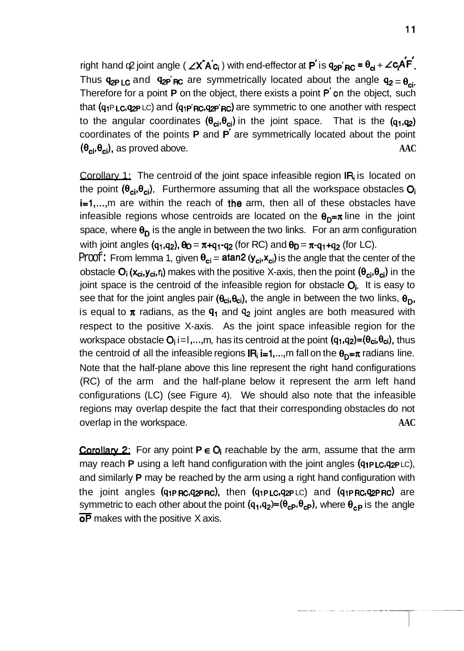$r$ ight hand  $\phi$  joint angle (  $\angle X^T A^T c_i$  ) with end-effector at  $P^T$  is  $q_{2P^T R C} = \theta_{ci} + \angle c_i A^T F$ . Thus  $q_{2PLC}$  and  $q_{2P}$  are symmetrically located about the angle  $q_{2} = \theta_{ci}$ . Therefore for a point **P** on the object, there exists a point **P** on the object, such that  $(q_1P_1C_2q_2P_1C)$  and  $(q_1P'_1R'_2P'_1R'_2)$  are symmetric to one another with respect to the angular coordinates  $(\theta_{ci}, \theta_{ci})$  in the joint space. That is the  $(q_1, q_2)$ coordinates of the points **P** and **P** are symmetrically located about the point  $(\theta_{ci}, \theta_{ci})$ , as proved above. **AAC** 

Corollary 1; The centroid of the joint space infeasible region IR<sub>i</sub> is located on the point  $(\theta_{ci}, \theta_{ci})$ . Furthermore assuming that all the workspace obstacles  $O_i$ i=1,..., m are within the reach of the arm, then all of these obstacles have infeasible regions whose centroids are located on the  $\theta_{n}=\pi$  line in the joint space, where  $\theta_{\rm D}$  is the angle in between the two links. For an arm configuration with joint angles (q<sub>1</sub>,q<sub>2</sub>),  $\theta_D = \pi + q_1 - q_2$  (for RC) and  $\theta_D = \pi - q_1 + q_2$  (for LC).

Proof: From lemma 1, given  $\theta_{ci} = \text{atan2} (y_{ci}, x_{ci})$  is the angle that the center of the obstacle  $O_i(x_{ci},y_{ci},r_i)$  makes with the positive X-axis, then the point  $(\theta_{ci},\theta_{ci})$  in the joint space is the centroid of the infeasible region for obstacle  $O_i$ . It is easy to see that for the joint angles pair ( $\theta_{ci}, \theta_{ci}$ ), the angle in between the two links,  $\theta_{D}$ , is equal to  $\pi$  radians, as the  $q_1$  and  $q_2$  joint angles are both measured with respect to the positive X-axis. As the joint space infeasible region for the workspace obstacle  $O_i$  i=1,..., m, has its centroid at the point  $(q_1, q_2)=(\theta_{ci}, \theta_{ci})$ , thus the centroid of all the infeasible regions  $IR_i = 1,..., m$  fall on the  $\theta_D = \pi$  radians line. Note that the half-plane above this line represent the right hand configurations (RC) of the arm and the half-plane below it represent the arm left hand configurations (LC) (see Figure 4). We should also note that the infeasible regions may overlap despite the fact that their corresponding obstacles do not overlap in the workspace. **AAC** 

**Corollary 2:** For any point  $P \in O_i$  reachable by the arm, assume that the arm may reach **P** using a left hand configuration with the joint angles  $(q_1 p_L c_q p_L c_q)$ , and similarly **P** may be reached by the arm using a right hand configuration with the joint angles  $(q_1P$  RC, $q_2P$  RC), then  $(q_1P$  LC, $q_2P$  LC) and  $(q_1P$  RC, $q_2P$  RC) are tne joint angles **(q1PRc,q2PRc),** then **(q1PLc,q2P**LC) and **(q1PRc,q2PRc)** are<br>symmetric to each other about the point **(q<sub>1</sub>,q<sub>2</sub>)=(θ<sub>cP</sub>,θ<sub>cP</sub>),** where θ<sub>cP</sub> is the angle and sir<br>the jo<br>symme<br>**oP** ma **oP** makes with the positive X axis.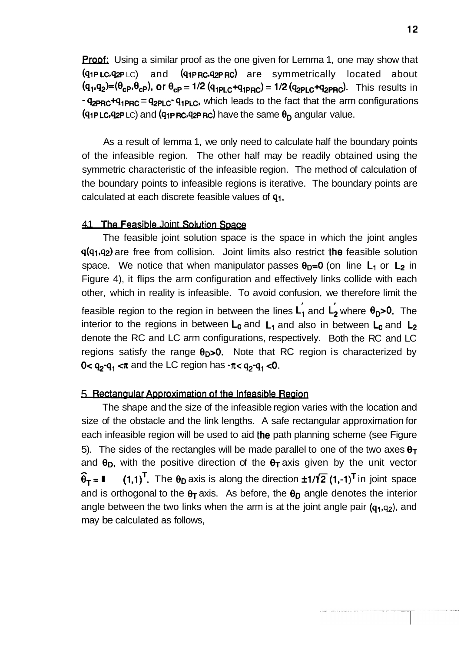**Proof:** Using a similar proof as the one given for Lemma 1, one may show that  $(q_1 p_L c, q_2 p_L c)$  and  $(q_1 p_R c, q_2 p_R c)$  are symmetrically located about  $(q_1, q_2)=(\theta_{\rm CP}, \theta_{\rm CP})$ , or  $\theta_{\rm CP}=1/2$   $(q_{\rm 1PLC}+q_{\rm 1PRC})=1/2$   $(q_{\rm 2PLC}+q_{\rm 2PRC})$ . This results in  $\frac{q_{\text{2PRC}}+q_{1\text{PRC}}}{q_{\text{2PLC}} \cdot q_{1\text{PLC}}}$ , which leads to the fact that the arm configurations (91PLC, 92PLC) and (91PRC, 92PRC) have the same  $\theta_D$  angular value.

As a result of lemma 1, we only need to calculate half the boundary points of the infeasible region. The other half may be readily obtained using the symmetric characteristic of the infeasible region. The method of calculation of the boundary points to infeasible regions is iterative. The boundary points are calculated at each discrete feasible values of q1.

#### 4.1 'The **F-** Joint Sowon *SDace*

The feasible joint solution space is the space in which the joint angles  $q(q_1,q_2)$  are free from collision. Joint limits also restrict the feasible solution space. We notice that when manipulator passes  $\theta_{D}=0$  (on line L<sub>1</sub> or L<sub>2</sub> in Figure 4), it flips the arm configuration and effectively links collide with each other, which in reality is infeasible. To avoid confusion, we therefore limit the feasible region to the region in between the lines  $L_1$  and  $L_2$  where  $\theta_0$ >0. The interior to the regions in between  $L_0$  and  $L_1$  and also in between  $L_0$  and  $L_2$ denote the RC and LC arm configurations, respectively. Both the RC and LC regions satisfy the range  $\theta_{D}$ >0. Note that RC region is characterized by  $0 < q_2-q_1 < \pi$  and the LC region has  $\cdot \pi < q_2-q_1 < 0$ .

#### 5 Rectangular Approximation of the Infeasible Region

The shape and the size of the infeasible region varies with the location and size of the obstacle and the link lengths. A safe rectangular approximation for each infeasible region will be used to aid the path planning scheme (see Figure 5). The sides of the rectangles will be made parallel to one of the two axes  $\theta_T$ and  $\theta_D$ , with the positive direction of the  $\theta_T$  axis given by the unit vector  $\hat{\theta}_T = \begin{bmatrix} (1.1)^T \\ 0.11 \end{bmatrix}$ . The  $\theta_D$  axis is along the direction  $\pm 1/\sqrt{2}$  (1.-1)<sup>T</sup> in joint space  $(1,1)^T$ . The  $\theta_D$  axis is along the direction  $\pm 1/\sqrt{2}$  (1,-1)<sup>T</sup> in joint space and is orthogonal to the  $\theta_T$  axis. As before, the  $\theta_D$  angle denotes the interior angle between the two links when the arm is at the joint angle pair  $(q_1, q_2)$ , and may be calculated as follows,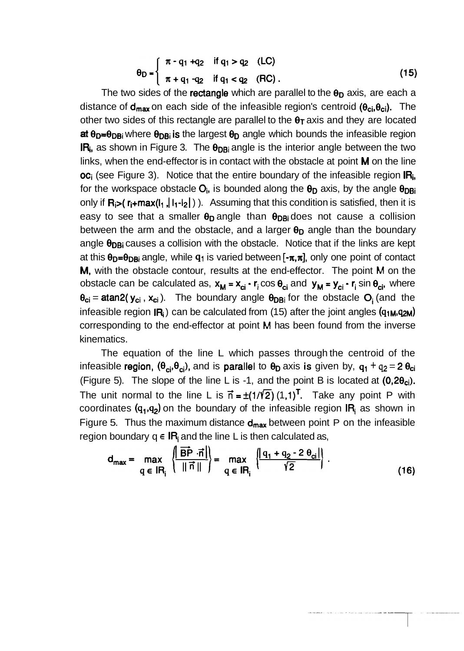$$
\theta_{D} = \begin{cases} \pi - q_1 + q_2 & \text{if } q_1 > q_2 \quad (\text{LC}) \\ \pi + q_1 - q_2 & \text{if } q_1 < q_2 \quad (\text{RC}) \end{cases}
$$
 (15)

The two sides of the rectangle which are parallel to the  $\theta_D$  axis, are each a distance of  $d_{max}$  on each side of the infeasible region's centroid ( $\theta_{ci}, \theta_{ci}$ ). The other two sides of this rectangle are parallel to the  $\theta_T$  axis and they are located at  $\theta_{D}=\theta_{DBi}$  where  $\theta_{DBi}$  is the largest  $\theta_{D}$  angle which bounds the infeasible region  $IR<sub>i</sub>$ , as shown in Figure 3. The  $\theta_{DBi}$  angle is the interior angle between the two links, when the end-effector is in contact with the obstacle at point  $M$  on the line  $\overline{OC}_i$  (see Figure 3). Notice that the entire boundary of the infeasible region  $\overline{IR}_i$ , for the workspace obstacle  $O_i$ , is bounded along the  $\theta_D$  axis, by the angle  $\theta_{DBi}$ only if  $R_i$ >( $r_i+max(I_1, |I_1-I_2|)$ ). Assuming that this condition is satisfied, then it is easy to see that a smaller  $\theta_{D}$  angle than  $\theta_{DBi}$  does not cause a collision between the arm and the obstacle, and a larger  $\theta_D$  angle than the boundary angle  $\theta_{DBi}$  causes a collision with the obstacle. Notice that if the links are kept at this  $\theta_{D}=\theta_{DBi}$  angle, while  $q_1$  is varied between  $[-\pi,\pi]$ , only one point of contact M, with the obstacle contour, results at the end-effector. The point **M** on the obstacle can be calculated as,  $x_M = x_{ci} - r_i \cos \theta_{ci}$  and  $y_M = y_{ci} - r_i \sin \theta_{ci}$ , where  $\theta_{ci}$  = atan2( $y_{ci}$ ,  $x_{ci}$ ). The boundary angle  $\theta_{DBi}$  for the obstacle  $O_i$  (and the infeasible region  $\mathbf{R}_i$ ) can be calculated from (15) after the joint angles ( $q_1, q_2, q_3$ ) corresponding to the end-effector at point **M** has been found from the inverse kinematics.

The equation of the line L which passes through the centroid of the infeasible **region**,  $(\theta_{ci}, \theta_{ci})$ , and is **parallel** to  $\theta_D$  axis is given by,  $q_1 + q_2 = 2 \theta_{ci}$ (Figure 5). The slope of the line L is -1, and the point B is located at  $(0,2\theta_{ci})$ . The unit normal to the line L is  $\vec{n} = \pm (1/\sqrt{2}) (1,1)^T$ . Take any point P with coordinates  $(q_1,q_2)$  on the boundary of the infeasible region  $IR_i$  as shown in Figure 5. Thus the maximum distance  $d_{max}$  between point P on the infeasible region boundary  $q \in IR_i$  and the line L is then calculated as,

$$
d_{\max} = \max_{q \in IR_i} \left\{ \frac{|\overrightarrow{BP} \cdot \overrightarrow{n}|}{\|\overrightarrow{n}\|} \right\} = \max_{q \in IR_i} \left\{ \frac{|q_1 + q_2 - 2 \theta_{ci}|}{\sqrt{2}} \right\}.
$$
 (16)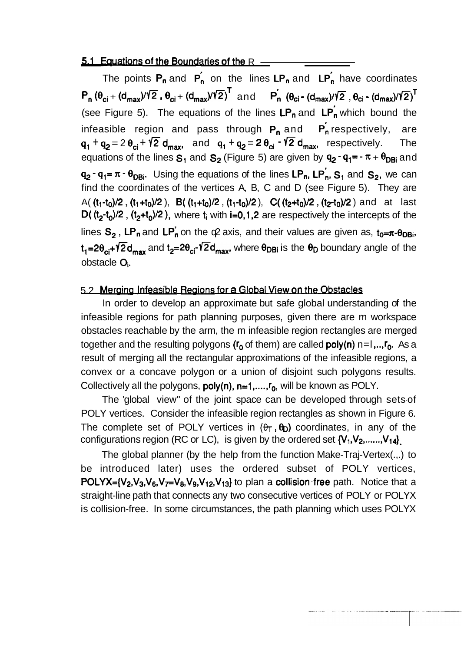**5.1 Equations of the Boundaries of the R**<br>The points  $P_n$  and  $P'_n$  on the lines  $LP_n$  and  $LP'_n$  have co<br> $P_n(\theta_{ci} + (d_{max})/Y\overline{2}, \theta_{ci} + (d_{max})/Y\overline{2})^T$  and  $P'_n(\theta_{ci} - (d_{max})/Y\overline{2}, \theta_{ci} -$ <br>(see Figure 5). The equations of the The points  $P_n$  and  $P'_n$  on the lines LP<sub>n</sub> and LP<sub>n</sub> have coordinates  $P_n (\theta_{ci} + (d_{max})/\sqrt{2}, \theta_{ci} + (d_{max})/\sqrt{2})^T$  and  $P'_n (\theta_{ci} - (d_{max})/\sqrt{2}, \theta_{ci} - (d_{max})/\sqrt{2})^T$ (see Figure 5). The equations of the lines  $LP_n$  and  $LP'_n$  which bound the infeasible region and pass through  $P_n$  and  $P_n$  respectively, are  $q_1 + q_2 = 2 \theta_{ci} + \sqrt{2} d_{max}$ , and  $q_1 + q_2 = 2 \theta_{ci} - \sqrt{2} d_{max}$ , respectively. The equations of the lines  $S_1$  and  $S_2$  (Figure 5) are given by  $q_2 \cdot q_1 = -\pi + \theta_{DBi}$  and  $q_2 - q_1 = \pi - \theta_{DBi}$ . Using the equations of the lines LP<sub>n</sub>, LP<sub>n</sub>, S<sub>1</sub> and S<sub>2</sub>, we can find the coordinates of the vertices A, B, C and D (see Figure 5). They are A(  $(t_1-t_0)/2$  ,  $(t_1+t_0)/2$  ), B(  $(t_1+t_0)/2$  ,  $(t_1-t_0)/2$  ), C(  $(t_2+t_0)/2$  ,  $(t_2-t_0)/2$  ) and at last D(  $(t_2-t_0)/2$  ,  $(t_2+t_0)/2$  ), where  $t_i$  with i=0,1,2 are respectively the intercepts of the lines  $S_2$ , LP<sub>n</sub> and LP<sub>n</sub> on the  $\alpha$  axis, and their values are given as,  $t_0=\pi$ - $\theta_{DBi}$ ,  $t_1=2\theta_{ci}+V2d_{max}$  and  $t_2=2\theta_{ci}+V2d_{max}$ , where  $\theta_{DBi}$  is the  $\theta_D$  boundary angle of the obstacle Oi.

#### 5.2 Merging Infeasible Regions for a Global View on the Obstacles

In order to develop an approximate but safe global understanding of the infeasible regions for path planning purposes, given there are m workspace obstacles reachable by the arm, the m infeasible region rectangles are merged together and the resulting polygons ( $r_0$  of them) are called **poly(n)** n=l,.., $r_0$ . As a result of merging all the rectangular approximations of the infeasible regions, a convex or a concave polygon or a union of disjoint such polygons results. Collectively all the polygons,  $poly(n)$ ,  $n=1, ..., r_0$ , will be known as POLY.

The 'global view" of the joint space can be developed through sets-of POLY vertices. Consider the infeasible region rectangles as shown in Figure 6. The complete set of POLY vertices in  $(\theta_T, \theta_D)$  coordinates, in any of the configurations region (RC or LC), is given by the ordered set  $\{V_1, V_2, \ldots, V_{14}\}\$ 

The global planner (by the help from the function Make-Traj-Vertex(.,.) to be introduced later) uses the ordered subset of POLY vertices, **POLYX={V<sub>2</sub>,V<sub>3</sub>,V<sub>6</sub>,V<sub>7</sub>=V<sub>8</sub>,V<sub>9</sub>,V<sub>12</sub>,V<sub>13</sub>} to plan a collision free path. Notice that a** straight-line path that connects any two consecutive vertices of POLY or POLYX is collision-free. In some circumstances, the path planning which uses POLYX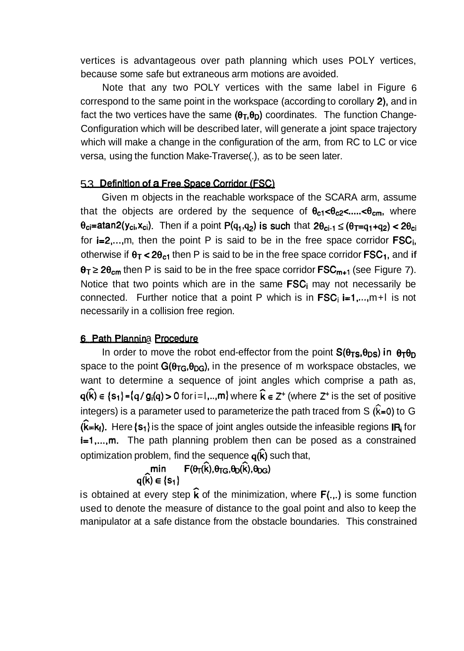vertices is advantageous over path planning which uses POLY vertices, because some safe but extraneous arm motions are avoided.

Note that any two POLY vertices with the same label in Figure 6 correspond to the same point in the workspace (according to corollary 2), and in fact the two vertices have the same  $(\theta_T,\theta_D)$  coordinates. The function Change-Configuration which will be described later, will generate a joint space trajectory which will make a change in the configuration of the arm, from RC to LC or vice versa, using the function Make-Traverse(.), as to be seen later.

## 5.3 Definition of a Free Space Corridor (FSC)

Given m objects in the reachable workspace of the SCARA arm, assume that the objects are ordered by the sequence of  $\theta_{c1} < \theta_{c2} < \dots < \theta_{cm}$ , where  $\theta_{ci}$ =atan2(y<sub>ci</sub>,x<sub>ci</sub>). Then if a point P(q<sub>1</sub>,q<sub>2</sub>) is such that  $2\theta_{ci-1} \leq (\theta_{T}=q_1+q_2) < 2\theta_{ci}$ for  $i=2,...,m$ , then the point P is said to be in the free space corridor  $FSC_i$ , otherwise if  $\theta$ <sub>T</sub> < 2 $\theta$ <sub>c1</sub> then P is said to be in the free space corridor **FSC**<sub>1</sub>, and if  $\theta_T \geq 2\theta_{cm}$  then P is said to be in the free space corridor  $FSC_{m+1}$  (see Figure 7). Notice that two points which are in the same  $FSC_i$  may not necessarily be connected. Further notice that a point P which is in  $FSC_i$  i=1,..., m+l is not necessarily in a collision free region.

### 6 Path Plannina Procedure

In order to move the robot end-effector from the point  $S(\theta_{TS},\theta_{DS})$  in  $\theta_T\theta_D$ space to the point  $G(\theta_{TG},\theta_{DG})$ , in the presence of m workspace obstacles, we want to determine a sequence of joint angles which comprise a path as,  $q(\hat{k}) \in \{s_1\} = \{q / g_i(q) > 0 \text{ for } i = 1, \ldots, m\}$  where  $\hat{k} \in \mathbb{Z}^+$  (where  $\mathbb{Z}^+$  is the set of positive integers) is a parameter used to parameterize the path traced from  $S$   $(\hat{k}=0)$  to G  $(k=k<sub>i</sub>)$ . Here  $\{s<sub>1</sub>\}$  is the space of joint angles outside the infeasible regions IR; for i=1,..., m. The path planning problem then can be posed as a constrained optimization problem, find the sequence  $q(\hat{k})$  such that,

$$
\min_{q(\widehat{k}) \in \{s_1\}} F(\theta_T(\widehat{k}), \theta_{TG}, \theta_D(\widehat{k}), \theta_{DG})
$$

is obtained at every step  $\hat{k}$  of the minimization, where  $F(.,.)$  is some function used to denote the measure of distance to the goal point and also to keep the manipulator at a safe distance from the obstacle boundaries. This constrained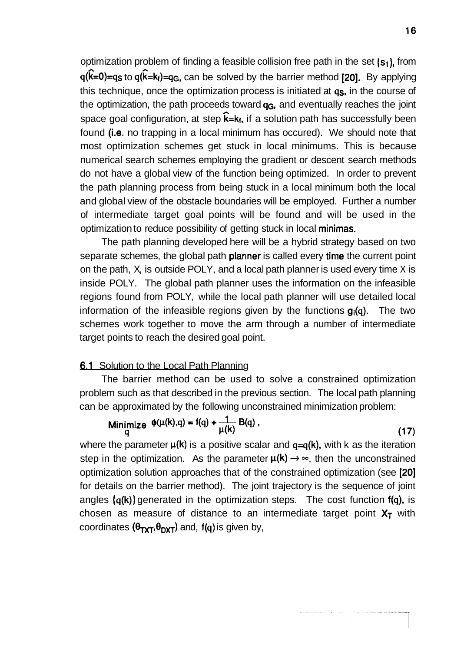optimization problem of finding a feasible collision free path in the set (s<sub>1</sub>), from  $q(\hat{k}=0)=q_s$  to  $q(\hat{k}=k_f)=q_s$ , can be solved by the barrier method [20]. By applying this technique, once the optimization process is initiated at  $q_s$ , in the course of the optimization, the path proceeds toward  $q<sub>G</sub>$ , and eventually reaches the joint space goal configuration, at step  $\mathbf{k} = \mathbf{k}_f$ , if a solution path has successfully been found (i.e. no trapping in a local minimum has occured). We should note that most optimization schemes get stuck in local minimums. This is because numerical search schemes employing the gradient or descent search methods do not have a global view of the function being optimized. In order to prevent the path planning process from being stuck in a local minimum both the local and global view of the obstacle boundaries will be employed. Further a number of intermediate target goal points will be found and will be used in the optimization to reduce possibility of getting stuck in local minimas.

The path planning developed here will be a hybrid strategy based on two separate schemes, the global path **planner** is called every time the current point on the path, X, is outside POLY, and a local path planner is used every time X is inside POLY. The global path planner uses the information on the infeasible regions found from POLY, while the local path planner will use detailed local information of the infeasible regions given by the functions  $g_i(q)$ . The two schemes work together to move the arm through a number of intermediate target points to reach the desired goal point.

#### **6.1** Solution to the Local Path Planning

The barrier method can be used to solve a constrained optimization problem such as that described in the previous section. The local path planning can be approximated by the following unconstrained minimization problem:

$$
\underset{q}{\text{Minimize}} \quad \phi(\mu(k), q) = f(q) + \frac{1}{\mu(k)} \mathbf{B}(q) \tag{17}
$$

where the parameter  $\mu(k)$  is a positive scalar and  $q=q(k)$ , with k as the iteration step in the optimization. As the parameter  $\mu(k) \rightarrow \infty$ , then the unconstrained optimization solution approaches that of the constrained optimization (see [20] for details on the barrier method). The joint trajectory is the sequence of joint angles  $\{q(k)\}$  generated in the optimization steps. The cost function  $f(q)$ , is chosen as measure of distance to an intermediate target point  $X_T$  with coordinates  $(\theta_{\text{TXT}}, \theta_{\text{DXT}})$  and,  $f(q)$  is given by,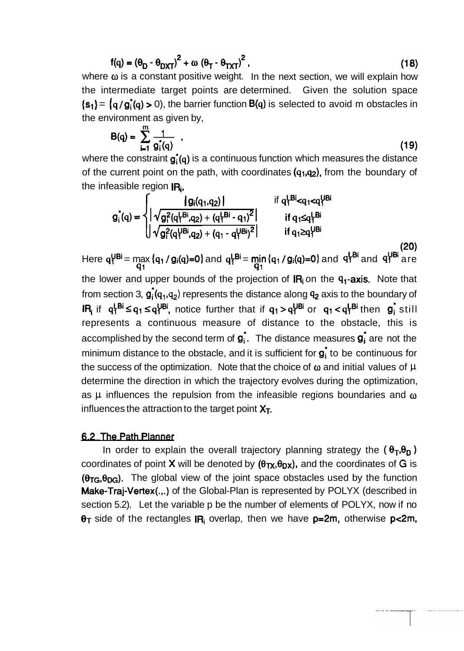$$
f(q) = (\theta_D - \theta_{DXT})^2 + \omega (\theta_T - \theta_{TXT})^2,
$$
\n(18)

where **o** is a constant positive weight. In the next section, we will explain how the intermediate target points are determined. Given the solution space  $\{s_1\} = \{q / g_i(q) > 0\}$ , the barrier function  $B(q)$  is selected to avoid m obstacles in the environment as given by,

$$
B(q) = \sum_{i=1}^{m} \frac{1}{g_i(q)} \tag{19}
$$

where the constraint  $g_i(q)$  is a continuous function which measures the distance of the current point on the path, with coordinates  $(q_1, q_2)$ , from the boundary of the infeasible region  $IR<sub>i</sub>$ ,

$$
g_{i}^{*}(q) = \begin{cases} \n\left| \sqrt{g_{i}^{2}(q_{1}^{1}a_{1}q_{2})} \right| & \text{if } q_{1}^{1}B_{i}^{1} < q_{1} < q_{1}^{1}B_{i} \\
\left| \sqrt{g_{i}^{2}(q_{1}^{1}B_{i},q_{2})} + (q_{1}^{1} - q_{1}^{1})^{2}} \right| & \text{if } q_{1} \leq q_{1}^{1}B_{i} \\
\left| \sqrt{g_{i}^{2}(q_{1}^{1}B_{i},q_{2})} + (q_{1}^{1} - q_{1}^{1}B_{i})^{2}} \right| & \text{if } q_{1} \geq q_{1}^{1}B_{i}\n\end{cases}
$$
\n(20)

Here  $q^{VBI}$  = max  $\{q_1 / g_i(q)=0\}$  and  $q^{VBI}$  = min  $\{q_1 / g_i(q)=0\}$  and  $q^{VBI}$  and  $q^{VBI}$  are  $q_1$   $q_1$   $q_1$ the lower and upper bounds of the projection of  $IR_i$  on the  $q_i$ -axis. Note that from section 3,  $g_i(q_1, q_2)$  represents the distance along  $q_2$  axis to the boundary of  $I\!$ **IR** if  $q_1^L$ <sup>Bi</sup>  $\leq q_1 \leq q_1^L$  notice further that if  $q_1 > q_1^L$ <sup>Bi</sup> or  $q_1 < q_1^L$ <sup>Bi</sup> then  $g_1$  still represents a continuous measure of distance to the obstacle, this is accomplished by the second term of  $g_i$ . The distance measures  $g_i$  are not the minimum distance to the obstacle, and it is sufficient for  $g_i$  to be continuous for the success of the optimization. Note that the choice of  $\omega$  and initial values of  $\mu$ determine the direction in which the trajectory evolves during the optimization, as  $\mu$  influences the repulsion from the infeasible regions boundaries and  $\omega$ influences the attraction to the target point  $X_T$ .

#### 6.2 The Path Planner

In order to explain the overall trajectory planning strategy the  $(\theta_T,\theta_D)$ coordinates of point **X** will be denoted by  $(\theta_{TX}, \theta_{DX})$ , and the coordinates of **G** is  $(\theta_{TG}, \theta_{DG})$ . The global view of the joint space obstacles used by the function Make-Traj-Vertex(.,.) of the Global-Plan is represented by POLYX (described in section 5.2). Let the variable p be the number of elements of POLYX, now if no  $\theta$ T side of the rectangles IR; overlap, then we have p=2m, otherwise p<2m,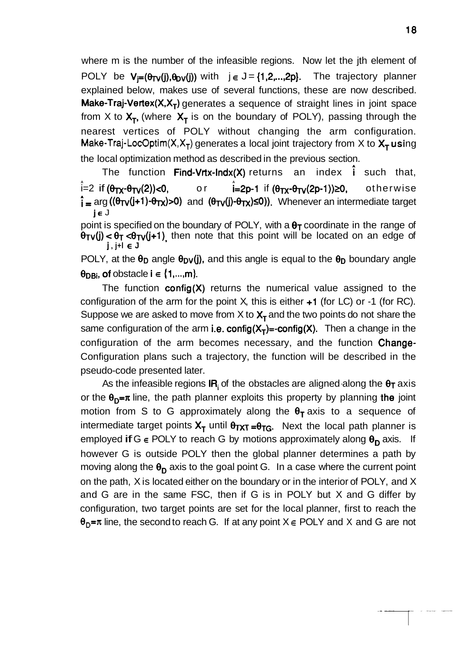where m is the number of the infeasible regions. Now let the jth element of POLY be  $V_i=(\theta_{TV}(j),\theta_{DV}(j))$  with  $j \in J = \{1,2,...,2p\}$ . The trajectory planner explained below, makes use of several functions, these are now described. **Make-Traj-Vertex(X,X<sub>T</sub>)** generates a sequence of straight lines in joint space from X to  $X_T$ , (where  $X_T$  is on the boundary of POLY), passing through the nearest vertices of POLY without changing the arm configuration. **Make-Traj-LocOptim(X,X<sub>T</sub>)** generates a local joint trajectory from X to  $X<sub>T</sub>$  using the local optimization method as described in the previous section.

The function Find-Vrtx-Indx(X) returns an index  $\hat{i}$  such that,  $i=2$  if  $(\theta_{TX} \cdot \theta_{TV}(2)) < 0$ , or  $\hat{i}$ =2p-1 if ( $\theta_{TX}$ - $\theta_{TV}(2p-1)$ )  $\geq$ 0, otherwise  $\hat{i}$  = arg (( $\theta_{TV}(j+1)$ - $\theta_{TX}$ )>0) and ( $\theta_{TV}(j)$ - $\theta_{TX}$ ) $\leq$ 0)). Whenever an intermediate target **j~** J

point is specified on the boundary of POLY, with a  $\theta_T$  coordinate in the range of  $\theta$ <sub>TV</sub>(j) <  $\theta$ <sub>T</sub> < $\theta$ <sub>TV</sub>(j+1), then note that this point will be located on an edge of **<sup>j</sup>**, **j+l E <sup>J</sup>**

POLY, at the  $\theta_D$  angle  $\theta_{DV}(j)$ , and this angle is equal to the  $\theta_D$  boundary angle  $\theta_{DBi}$ , of obstacle i  $\in \{1, ..., m\}$ .

The function  $\text{config}(X)$  returns the numerical value assigned to the configuration of the arm for the point X, this is either  $+1$  (for LC) or  $-1$  (for RC). Suppose we are asked to move from X to  $X<sub>T</sub>$  and the two points do not share the same configuration of the arm i.e. config $(X_T)$ =-config $(X)$ . Then a change in the configuration of the arm becomes necessary, and the function Change-Configuration plans such a trajectory, the function will be described in the pseudo-code presented later.

As the infeasible regions  $IR_i$  of the obstacles are aligned along the  $\theta_T$  axis or the  $\theta_{D}=\pi$  line, the path planner exploits this property by planning the joint motion from S to G approximately along the  $\theta_T$  axis to a sequence of intermediate target points  $X_T$  until  $\theta_{TXT} = \theta_{TG}$ . Next the local path planner is employed if G  $\epsilon$  POLY to reach G by motions approximately along  $\theta_{\rm D}$  axis. If however G is outside POLY then the global planner determines a path by moving along the  $\theta_D$  axis to the goal point G. In a case where the current point on the path, X is located either on the boundary or in the interior of POLY, and X and G are in the same FSC, then if G is in POLY but X and G differ by configuration, two target points are set for the local planner, first to reach the  $\theta_{\text{D}}$ = $\pi$  line, the second to reach G. If at any point  $X \in \text{POLY}$  and X and G are not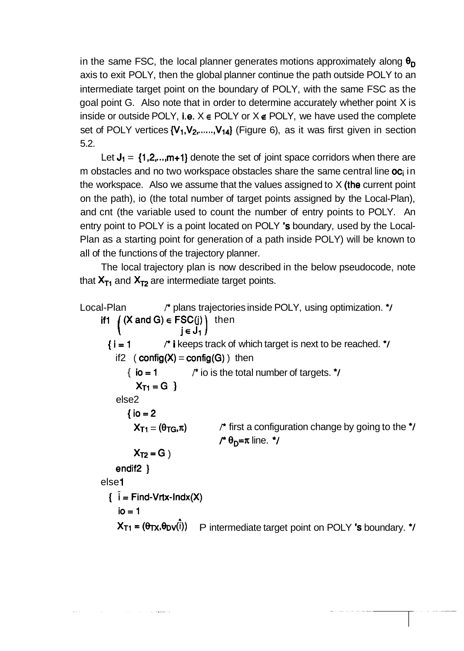in the same FSC, the local planner generates motions approximately along  $\theta_D$ axis to exit POLY, then the global planner continue the path outside POLY to an intermediate target point on the boundary of POLY, with the same FSC as the goal point G. Also note that in order to determine accurately whether point X is inside or outside POLY, i.e.  $X \in \text{POLY}$  or  $X \notin \text{POLY}$ , we have used the complete set of POLY vertices  $\{V_1, V_2, \ldots, V_{14}\}$  (Figure 6), as it was first given in section 5.2.

Let  $J_1 = \{1, 2, \ldots, m+1\}$  denote the set of joint space corridors when there are m obstacles and no two workspace obstacles share the same central line  $oc<sub>i</sub>$  in the workspace. Also we assume that the values assigned to  $X$  (the current point on the path), io (the total number of target points assigned by the Local-Plan), and cnt (the variable used to count the number of entry points to POLY. An entry point to POLY is a point located on POLY 's boundary, used by the Local-Plan as a starting point for generation of a path inside POLY) will be known to all of the functions of the trajectory planner.

The local trajectory plan is now described in the below pseudocode, note that  $X_{T1}$  and  $X_{T2}$  are intermediate target points.

```
Local-Plan Price A P blans trajectories inside POLY, using optimization. \mathbf{A}ifi ( (X and G) \in FSC(j) then
                              j~ JI 
1 
                        <sup>*</sup> i keeps track of which target is next to be reached. \dot{U}i=1if2 ( config(X) = config(G) ) then
              \{io = 1 \quad P^* io is the total number of targets. \primeX_{T1} = G 1
          else2 
              {io = 2}X_{T1} = (\theta_{TG}, \pi) <sup>*</sup> first a configuration change by going to the \gamma\prime \theta_{D} = \pi line. \primeX_{T2} = G)
          endif2 \}else 1 
        \hat{i} = Find-Vrtx-Indx(X)
           io = 1X_{T1} = (\theta_{TX}, \theta_{DV}(\hat{i})) P intermediate target point on POLY 's boundary. \dot{\theta}
```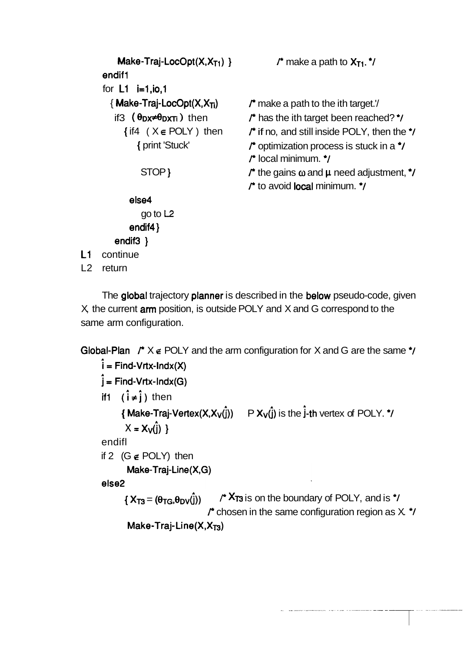```
Make-Traj-LocOpt(X,X<sub>T1</sub>) } \blacksquare r make a path to X_{T1}. \blacksquareendif 1 
        for L1 i=1, io, 1
           { Make-Traj-LocOpt(X, X_{\overline{11}} \qquad /* make a path to the ith target.'/
             if3 (\thetaDX<sup>≠\thetaDXTi) then f<sup>*</sup> has the ith target been reached? <sup>*</sup>/<br>{if4 (X \in \text{POLY}) then f<sup>*</sup> if no. and still inside POLY, then the</sup>
                 ( \theta<sub>DX</sub>≠\theta<sub>D</sub>xπi ) then fright has the ith target been reached? */<br>{ if4 ( X ∈ POLY ) then fright no, and still inside POLY, then the */
                      {f} ( {X} ∈ POLY ) then {f} if no, and still inside POLY, then the {f} print 'Stuck' {f} optimization process is stuck in a {f}\Gamma optimization process is stuck in a \gamma<br>\Gamma local minimum. \gammaSTOP }<br>STOP } he gains o and µ need adjustment, \uparrow/
                                                                 /* the gains ω and μ need adju<br>/* to avoid local minimum. */
                   else4 
                       go to L2 
                   endif4 ) 
             endif3 ) 
L1 continue
L2 return 
        The global trajectory planner is described in the below pseudo-code, given
```
 $X$ , the current  $arm$  position, is outside POLY and  $X$  and  $G$  correspond to the same arm configuration.

```
Global-Plan r^* \times \epsilon POLY and the arm configuration for X and G are the same \gamma<br>\hat{i} = Find-Vrtx-Indx(X)
      \hat{j} = Find-Vrtx-Indx(G)
      iff (i \neq i) then
             {<sup>{</sup> Make-Traj-Vertex(X,X<sub>V</sub>(\hat{j})) P X_V(\hat{j}) is the \hat{j}-th vertex of POLY. */
              X = X_V(i)endifl 
      if 2 (G e POLY) then 
               Make-Traj-Line(X,G)
      else2<br>{X_{T3} = (\theta_{TG}, \theta_{DV}(\hat{j})) /* X_{T3} is on the boundary of POLY, and is */
```

```
r^* chosen in the same configuration region as X. \dot{r}/<br>Make-Traj-Line(X,X<sub>T3</sub>)
```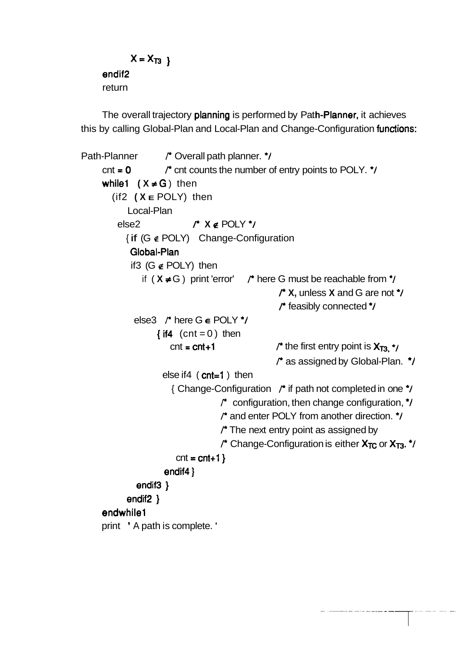```
X = X_{T3}endif2 
return
```
The overall trajectory planning is performed by Path-Planner, it achieves this by calling Global-Plan and Local-Plan and Change-Configuration functions:

```
Path-Planner <sup>+</sup> Overall path planner. */
     \cot = 0 \int \star cnt counts the number of entry points to POLY. \star/
     while1 (X \neq G) then
        (if2 ( X E POLY) then 
            Local-Plan 
          else2 P X e POLY *I 
            { if (G e POLY) Change-Configuration 
             Global-Plan 
             if3 (G e POLY) then 
                if (X \neq G) print 'error' P^* here G must be reachable from \gammaP X, unless X and G are not *I 
                                                       P feasibly connected *I 
              else3 \prime<sup>*</sup> here G \epsilon POLY \prime\prime{if4 (cnt = 0) then
                        \cot = \cot + 1 P \int^* \text{the first entry point is <math>X_{T3} \cdot \int^* f(x) \, dx</math>P as assigned by Global-Plan. *I 
                      else if4 (cnt=1) then
                         { Change-Configuration P if path not completed in one *I 
                                      /* configuration, then change configuration, \dot{U}P and enter POLY from another direction. *I 
                                      /* The next entry point as assigned by
                                      P Change-Configuration is either X_{TC} or X_{T3}. <sup>*</sup>/
                          cnt = <math>cnt + 1</math>endif4 }
               endif<sub>3</sub> }
            endif<sub>2</sub> }
     endwhile1
     print ' A path is complete. '
```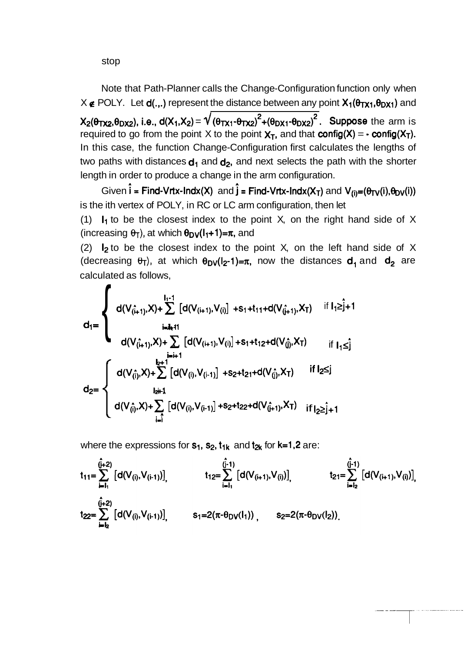stop

Note that Path-Planner calls the Change-Configuration function only when  $X \notin \text{POLY}$ . Let  $d(.,.)$  represent the distance between any point  $X_1(\theta_{TX1},\theta_{DX1})$  and  $X_2(\theta_{TX2},\theta_{DX2})$ , i.e.,  $d(X_1,X_2) = \sqrt{(\theta_{TX1} \cdot \theta_{TX2})^2 + (\theta_{DX1} \cdot \theta_{DX2})^2}$ . Suppose the arm is required to go from the point X to the point  $X_T$ , and that **config(X)** =  $\cdot$  **config(X<sub>T</sub>).** In this case, the function Change-Configuration first calculates the lengths of two paths with distances  $d_1$  and  $d_2$ , and next selects the path with the shorter length in order to produce a change in the arm configuration.

Given  $\hat{i}$  = Find-Vrtx-lndx(X) and  $\hat{j}$  = Find-Vrtx-lndx(X<sub>T</sub>) and V<sub>(i)</sub>=( $\theta_{TV}(i)$ , $\theta_{DV}(i)$ ) is the ith vertex of POLY, in RC or LC arm configuration, then let

(1)  $I_1$  to be the closest index to the point X, on the right hand side of X (increasing  $\theta$ <sub>T</sub>), at which  $\theta_{DV}(I_1+1)=\pi$ , and

(2)  $\mathsf{I}_2$  to be the closest index to the point X, on the left hand side of X (decreasing  $\theta_T$ ), at which  $\theta_{DV}(I_2-1)=\pi$ , now the distances  $d_1$  and  $d_2$  are calculated as follows,

$$
d_1 = \begin{cases} d(V_{(i+1)}^-,X) + \sum_{i=1}^{I_1+1} [d(V_{(i+1)},V_{(i)}] + s_1+t_{11}+d(V_{(i+1)}^-,X_T) & \text{if } I_1 \geq j+1 \\ \qquad \qquad \text{if } I_1 \leq j \\ d(V_{(i+1)}^-,X) + \sum_{i=i+1}^{I_2+1} [d(V_{(i+1)},V_{(i)}] + s_1+t_{12}+d(V_{(j)}^-,X_T) & \text{if } I_1 \leq j \\ d(V_{(i)}^-,X) + \sum_{i=i}^{I_2+1} [d(V_{(i)},V_{(i-1)}] + s_2+t_{21}+d(V_{(j)}^-,X_T) & \text{if } I_2 \leq j \\ d(V_{(i)}^-,X) + \sum_{i=i}^{I_2+1} [d(V_{(i)},V_{(i-1)}] + s_2+t_{22}+d(V_{(j+1)}^-,X_T) & \text{if } I_2 \geq j+1 \end{cases}
$$

where the expressions for  $s_1$ ,  $s_2$ ,  $t_{1k}$  and  $t_{2k}$  for  $k=1,2$  are:

$$
t_{11} = \sum_{i=1}^{(\hat{j}+2)} [d(V_{(i)}, V_{(i-1)})] \qquad t_{12} = \sum_{i=1}^{(\hat{j}-1)} [d(V_{(i+1)}, V_{(i)})] \qquad t_{21} = \sum_{i=1_2}^{(\hat{j}-1)} [d(V_{(i+1)}, V_{(i)})] \qquad t_{22} = \sum_{i=1_2}^{(\hat{j}+2)} [d(V_{(i)}, V_{(i-1)})] \qquad s_1 = 2(\pi - \theta_{DV}(l_1)) \qquad s_2 = 2(\pi - \theta_{DV}(l_2))
$$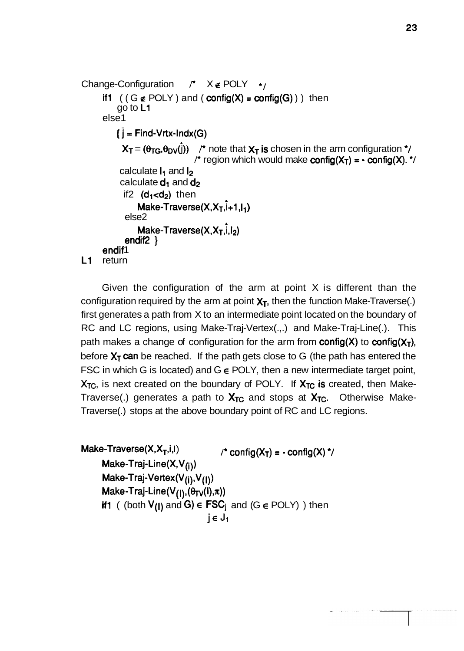```
Change-Configuration /<sup>★</sup> X e POLY */
      if1 ((G \notin \text{POLY}) and (\text{config}(X) = \text{config}(G)) then
          go to L1 
      else1 
          i = Find-Vrtx-Indx(G)X_T = (\theta_{TG}, \theta_{DV}(\hat{j})) /* note that X_T is chosen in the arm configuration */
                                f^* region which would make config(X_T) = \cdot config(X). */
           calculate I_1 and I_2calculate d_1 and d_2if2 (d_1 < d_2) then
                Make-Traverse(X, X_T, \hat{i}+1, I_1)else2 
                Make-Traverse(X,X_T,\hat{i},I_2)endif2 ) 
      endif1
L1 return
```
Given the configuration of the arm at point X is different than the configuration required by the arm at point  $X_T$ , then the function Make-Traverse(.) first generates a path from X to an intermediate point located on the boundary of RC and LC regions, using Make-Traj-Vertex(.,.) and Make-Traj-Line(.). This path makes a change of configuration for the arm from **config(X)** to **config(X<sub>T</sub>)**, before  $X_T$  can be reached. If the path gets close to G (the path has entered the FSC in which G is located) and  $G \in \text{POLY}$ , then a new intermediate target point,  $X_{TC}$ , is next created on the boundary of POLY. If  $X_{TC}$  is created, then Make-Traverse(.) generates a path to  $X_{TC}$  and stops at  $X_{TC}$ . Otherwise Make-Traverse(.) stops at the above boundary point of RC and LC regions.

Make-Traverse(X, $X_T$ ,i,l)  $\qquad \qquad$  /\* config(X<sub>T</sub>) = - config(X) \*/ Make-Traj-Line(X,V<sub>(i)</sub>) **Make-Traj-Vertex(V(i),V(l))**   $Make-Traj-Line(V_{(l)},(\theta_{TV}(l),\pi))$ if1 ( (both  $V_{(1)}$  and G)  $\in$  FSC<sub>i</sub> and (G  $\in$  POLY) ) then  $j \in J_1$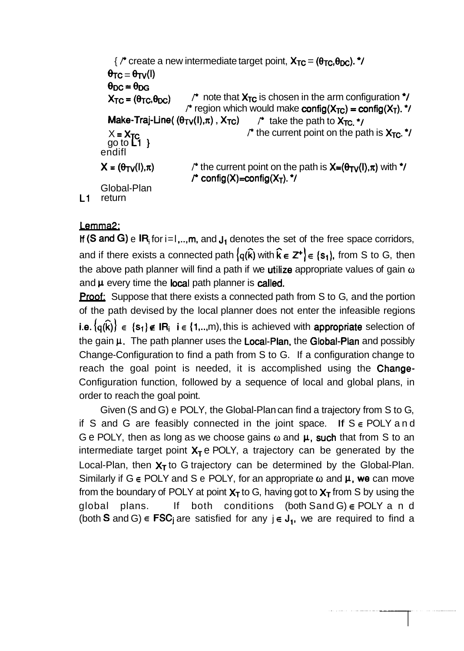```
\frac{1}{2} \pi create a new intermediate target point, X_{TC} = (\theta_{TC}, \theta_{DC}). \pi/
          \theta_{TC} = \theta_{TV}(I)\theta_{\rm DC} = \theta_{\rm DG}X_{TC} = (\theta_{TC}, \theta_{DC}) <sup>t</sup> note that X_{TC} is chosen in the arm configuration ^*/
                                        \prime<sup>*</sup> region which would make config(X<sub>TC</sub>) = config(X<sub>T</sub>). \prime/
           Make-Traj-Line( (\theta_{TV}(I),\pi), X_{TC}) \rightarrow take the path to X_{TC} \rightarrow\prime^* the current point on the path is X_{TC}.<sup>*</sup>/
          X = X_{C}<br>go to C_1 }
        endifl 
        X = (\theta_{TV}(l), \pi) /* the current point on the path is X=(\theta_{TV}(l), \pi) with */
                                           \ell^{\pm} config(X)=config(X<sub>T</sub>). ^{\star}\ellGlobal-Plan 
L1 return
```
## Lemma2:

**If (S and G)** e  $IR_i$  for i=1,..,m, and  $J_1$  denotes the set of the free space corridors, and if there exists a connected path  $\{q(\hat{k})$  with  $\hat{k} \in \mathbb{Z}^+\} \in \{s_1\}$ , from S to G, then the above path planner will find a path if we utilize appropriate values of gain **o**  and  $\mu$  every time the local path planner is called.

**Proof:** Suppose that there exists a connected path from S to G, and the portion of the path devised by the local planner does not enter the infeasible regions i.e.  $\{q(\hat{k})\}\in\{s_1\}\notin IR_i$  i  $\in\{1,...,m\}$ , this is achieved with **appropriate** selection of the gain  $\mu$ . The path planner uses the Local-Plan, the Global-Plan and possibly Change-Configuration to find a path from S to G. If a configuration change to reach the goal point is needed, it is accomplished using the Change-Configuration function, followed by a sequence of local and global plans, in order to reach the goal point.

Given (S and G) e POLY, the Global-Plan can find a trajectory from S to G, if S and G are feasibly connected in the joint space. If  $S \in \text{POLY}$  and G e POLY, then as long as we choose gains  $\omega$  and  $\mu$ , such that from S to an intermediate target point  $X_T$  e POLY, a trajectory can be generated by the Local-Plan, then  $X_T$  to G trajectory can be determined by the Global-Plan. Similarly if  $G \in \text{POLY}$  and S e POLY, for an appropriate  $\omega$  and  $\mu$ , we can move from the boundary of POLY at point  $X_T$  to G, having got to  $X_T$  from S by using the global plans. If both conditions (both Sand G) **E** POLY a n d (both S and G)  $\in$  **FSC**<sub>j</sub> are satisfied for any  $j \in J_1$ , we are required to find a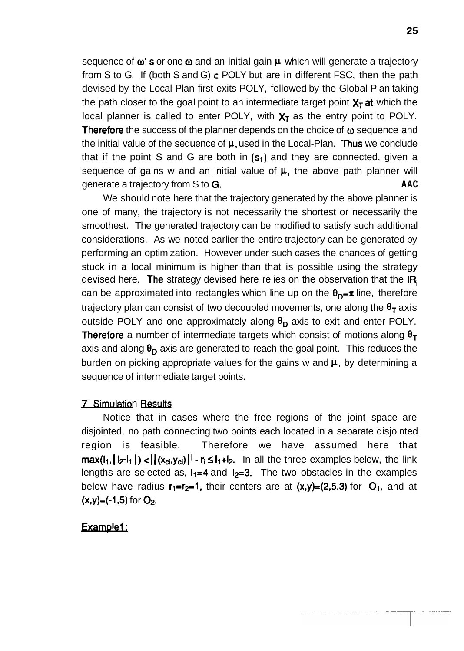sequence of  $\omega$ 's or one  $\omega$  and an initial gain  $\mu$  which will generate a trajectory from S to G. If (both S and G) **E** POLY but are in different FSC, then the path devised by the Local-Plan first exits POLY, followed by the Global-Plan taking the path closer to the goal point to an intermediate target point  $X<sub>T</sub>$  at which the local planner is called to enter POLY, with  $X<sub>T</sub>$  as the entry point to POLY. Therefore the success of the planner depends on the choice of **o** sequence and the initial value of the sequence of  $\mu$ , used in the Local-Plan. Thus we conclude that if the point S and G are both in  $\{s_1\}$  and they are connected, given a sequence of gains w and an initial value of  $\mu$ , the above path planner will generate a trajectory from S to G. **AAC** 

We should note here that the trajectory generated by the above planner is one of many, the trajectory is not necessarily the shortest or necessarily the smoothest. The generated trajectory can be modified to satisfy such additional considerations. As we noted earlier the entire trajectory can be generated by performing an optimization. However under such cases the chances of getting stuck in a local minimum is higher than that is possible using the strategy devised here. The strategy devised here relies on the observation that the  $IR<sub>i</sub>$ can be approximated into rectangles which line up on the  $\theta_{p} = \pi$  line, therefore trajectory plan can consist of two decoupled movements, one along the  $\theta_T$  axis outside POLY and one approximately along  $\theta_D$  axis to exit and enter POLY. **Therefore** a number of intermediate targets which consist of motions along  $\theta_T$ axis and along  $\theta_{\rm D}$  axis are generated to reach the goal point. This reduces the burden on picking appropriate values for the gains w and  $\mu$ , by determining a sequence of intermediate target points.

#### **7** Simulation Results

Notice that in cases where the free regions of the joint space are disjointed, no path connecting two points each located in a separate disjointed region is feasible. Therefore we have assumed here that  $max(I_1, |I_2-1|) < |(x_{ci}, y_{ci})|| - r_i \leq I_1+I_2$ . In all the three examples below, the link lengths are selected as,  $I_1=4$  and  $I_2=3$ . The two obstacles in the examples below have radius  $r_1=r_2=1$ , their centers are at  $(x,y)=(2,5.3)$  for  $O_1$ , and at  $(x,y)=(-1,5)$  for  $O_2$ .

#### Example1: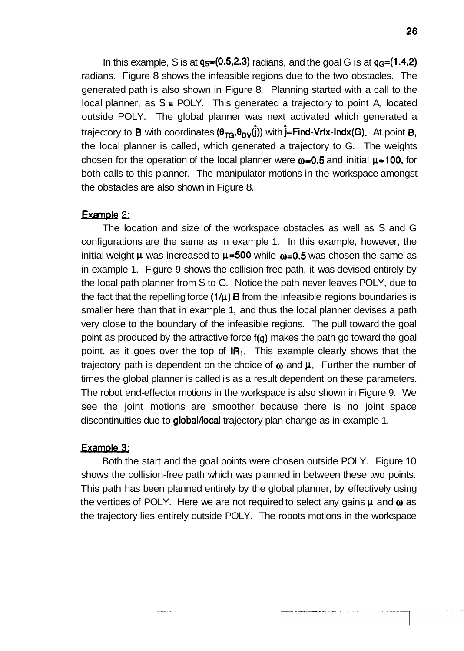In this example, S is at  $q_s=(0.5,2.3)$  radians, and the goal G is at  $q_c=(1.4,2)$ radians. Figure 8 shows the infeasible regions due to the two obstacles. The generated path is also shown in Figure 8. Planning started with a call to the local planner, as S **E** POLY. This generated a trajectory to point A, located outside POLY. The global planner was next activated which generated a trajectory to **B** with coordinates  $(\theta_{TG}, \theta_{DY}(\hat{j}))$  with  $\hat{j}$ =Find-Vrtx-lndx(G). At point **B**, the local planner is called, which generated a trajectory to G. The weights chosen for the operation of the local planner were  $\omega$ =0.5 and initial  $\mu$ =100, for both calls to this planner. The manipulator motions in the workspace amongst the obstacles are also shown in Figure 8.

#### Example 2;

The location and size of the workspace obstacles as well as S and G configurations are the same as in example 1. In this example, however, the initial weight  $\mu$  was increased to  $\mu$ =500 while  $\omega$ =0.5 was chosen the same as in example 1. Figure 9 shows the collision-free path, it was devised entirely by the local path planner from S to G. Notice the path never leaves POLY, due to the fact that the repelling force  $(1/\mu)$  B from the infeasible regions boundaries is smaller here than that in example 1, and thus the local planner devises a path very close to the boundary of the infeasible regions. The pull toward the goal point as produced by the attractive force f(q) makes the path go toward the goal point, as it goes over the top of  $IR_1$ . This example clearly shows that the trajectory path is dependent on the choice of  $\omega$  and  $\mu$ . Further the number of times the global planner is called is as a result dependent on these parameters. The robot end-effector motions in the workspace is also shown in Figure 9. We see the joint motions are smoother because there is no joint space discontinuities due to global/local trajectory plan change as in example 1.

#### Example 3:

Both the start and the goal points were chosen outside POLY. Figure 10 shows the collision-free path which was planned in between these two points. This path has been planned entirely by the global planner, by effectively using the vertices of POLY. Here we are not required to select any gains  $\mu$  and  $\omega$  as the trajectory lies entirely outside POLY. The robots motions in the workspace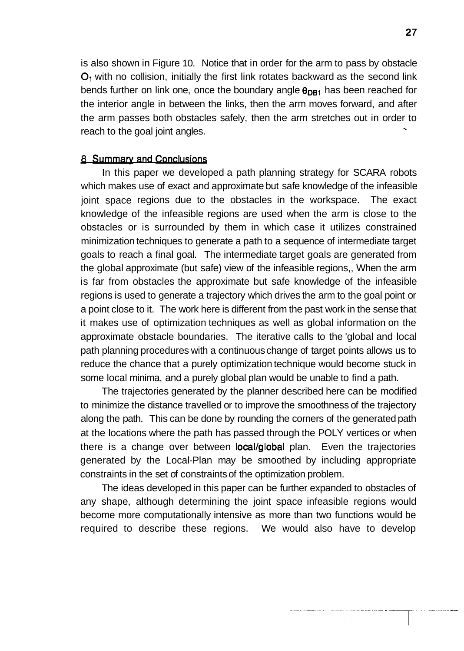is also shown in Figure 10. Notice that in order for the arm to pass by obstacle  $O<sub>1</sub>$  with no collision, initially the first link rotates backward as the second link bends further on link one, once the boundary angle  $\theta_{DR1}$  has been reached for the interior angle in between the links, then the arm moves forward, and after the arm passes both obstacles safely, then the arm stretches out in order to reach to the goal joint angles.

#### **8** Summary and Conclusions

In this paper we developed a path planning strategy for SCARA robots which makes use of exact and approximate but safe knowledge of the infeasible joint space regions due to the obstacles in the workspace. The exact knowledge of the infeasible regions are used when the arm is close to the obstacles or is surrounded by them in which case it utilizes constrained minimization techniques to generate a path to a sequence of intermediate target goals to reach a final goal. The intermediate target goals are generated from the global approximate (but safe) view of the infeasible regions,, When the arm is far from obstacles the approximate but safe knowledge of the infeasible regions is used to generate a trajectory which drives the arm to the goal point or a point close to it. The work here is different from the past work in the sense that it makes use of optimization techniques as well as global information on the approximate obstacle boundaries. The iterative calls to the 'global and local path planning procedures with a continuous change of target points allows us to reduce the chance that a purely optimization technique would become stuck in some local minima, and a purely global plan would be unable to find a path.

The trajectories generated by the planner described here can be modified to minimize the distance travelled or to improve the smoothness of the trajectory along the path. This can be done by rounding the corners of the generated path at the locations where the path has passed through the POLY vertices or when there is a change over between **local/global** plan. Even the trajectories generated by the Local-Plan may be smoothed by including appropriate constraints in the set of constraints of the optimization problem.

The ideas developed in this paper can be further expanded to obstacles of any shape, although determining the joint space infeasible regions would become more computationally intensive as more than two functions would be required to describe these regions. We would also have to develop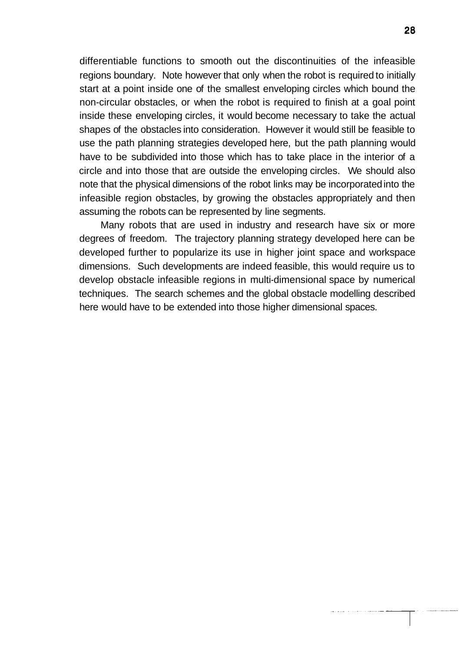differentiable functions to smooth out the discontinuities of the infeasible regions boundary. Note however that only when the robot is required to initially start at a point inside one of the smallest enveloping circles which bound the non-circular obstacles, or when the robot is required to finish at a goal point inside these enveloping circles, it would become necessary to take the actual shapes of the obstacles into consideration. However it would still be feasible to use the path planning strategies developed here, but the path planning would have to be subdivided into those which has to take place in the interior of a circle and into those that are outside the enveloping circles. We should also note that the physical dimensions of the robot links may be incorporated into the infeasible region obstacles, by growing the obstacles appropriately and then assuming the robots can be represented by line segments.

Many robots that are used in industry and research have six or more degrees of freedom. The trajectory planning strategy developed here can be developed further to popularize its use in higher joint space and workspace dimensions. Such developments are indeed feasible, this would require us to develop obstacle infeasible regions in multi-dimensional space by numerical techniques. The search schemes and the global obstacle modelling described here would have to be extended into those higher dimensional spaces.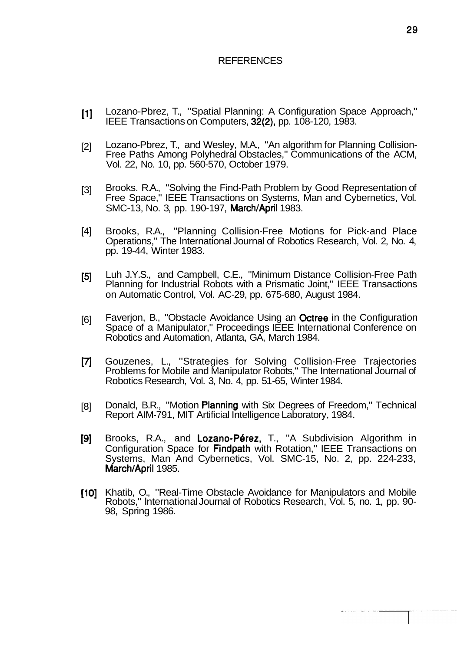#### REFERENCES

- [I] Lozano-Pbrez, T., "Spatial Planning: A Configuration Space Approach," IEEE Transactions on Computers, 32(2), pp. 108-120, 1983.
- [2] Lozano-Pbrez, T., and Wesley, M.A., "An algorithm for Planning Collision-Free Paths Among Polyhedral Obstacles," Communications of the ACM, Vol. 22, No. 10, pp. 560-570, October 1979.
- [3] Brooks. R.A., "Solving the Find-Path Problem by Good Representation of Free Space," IEEE Transactions on Systems, Man and Cybernetics, Vol. SMC-13, No. 3, pp. 190-197, March/April 1983.
- [4] Brooks, R.A., "Planning Collision-Free Motions for Pick-and Place Operations," The lnternational Journal of Robotics Research, Vol. 2, No. 4, pp. 19-44, Winter 1983.
- [5] Luh J.Y.S., and Campbell, C.E., "Minimum Distance Collision-Free Path Planning for Industrial Robots with a Prismatic Joint," IEEE Transactions on Automatic Control, Vol. AC-29, pp. 675-680, August 1984.
- [6] Faverjon, B., "Obstacle Avoidance Using an Octree in the Configuration Space of a Manipulator," Proceedings IEEE lnternational Conference on Robotics and Automation, Atlanta, GA, March 1984.
- [7] Gouzenes, L., "Strategies for Solving Collision-Free Trajectories Problems for Mobile and Manipulator Robots," The International Journal of Robotics Research, Vol. 3, No. 4, pp. 51 -65, Winter 1984.
- [8] Donald, B.R., "Motion Planning with Six Degrees of Freedom," Technical Report AIM-791, MIT Artificial Intelligence Laboratory, 1984.
- [9] Brooks, R.A., and Lozano-Pérez, T., "A Subdivision Algorithm in Configuration Space for Findpath with Rotation," IEEE Transactions on Systems, Man And Cybernetics, Vol. SMC-15, No. 2, pp. 224-233, March/April 1985.
- [10] Khatib, O., "Real-Time Obstacle Avoidance for Manipulators and Mobile Robots," lnternational Journal of Robotics Research, Vol. 5, no. 1, pp. 90- 98, Spring 1 986.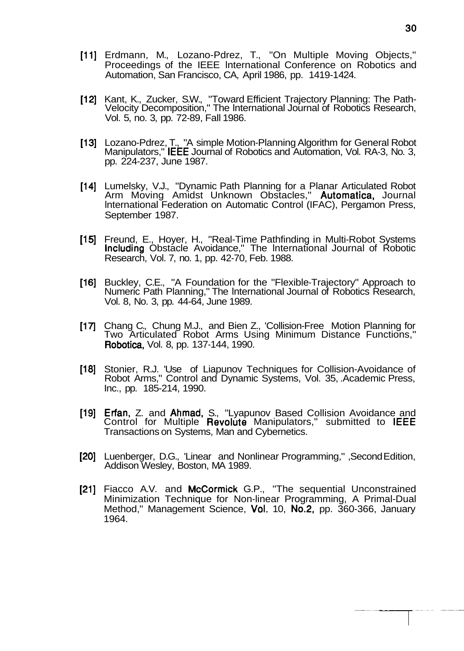- [11] Erdmann, M., Lozano-Pdrez, T., "On Multiple Moving Objects," Proceedings of the IEEE lnternational Conference on Robotics and Automation, San Francisco, CA, April 1986, pp. 1419-1424.
- [12] Kant, K., Zucker, S.W., "Toward Efficient Trajectory Planning: The Path- Velocity Decomposition," The lnternational Journal of Robotics Research, Vol. 5, no. 3, pp. 72-89, Fall 1986.
- [13] Lozano-Pdrez, T., "A simple Motion-Planning Algorithm for General Robot Manipulators," IEEE Journal of Robotics and Automation, Vol. RA-3, No. 3, pp. 224-237, June 1987.
- [14] Lumelsky, V.J., "Dynamic Path Planning for a Planar Articulated Robot Arm Moving Amidst Unknown Obstacles," Automatica, Journal lnternational Federation on Automatic Control (IFAC), Pergamon Press, September 1987.
- [IS] Freund, E., Hoyer, H., "Real-Time Pathfinding in Multi-Robot Systems Including Obstacle Avoidance," The lnternational Journal of Robotic Research, Vol. 7, no. 1, pp. 42-70, Feb. 1988.
- [16] Buckley, C.E., "A Foundation for the "Flexible-Trajectory" Approach to Numeric Path Planning," The lnternational Journal of Robotics Research, Vol. 8, No. 3, pp. 44-64, June 1989.
- [17] Chang C., Chung M.J., and Bien Z., 'Collision-Free Motion Planning for Two Articulated Robot Arms Using Minimum Distance Functions," Robotics, Vol. 8, pp. 137-144, 1990.
- [18] Stonier, R.J. 'Use of Liapunov Techniques for Collision-Avoidance of Robot Arms," Control and Dynamic Systems, Vol. 35, .Academic Press, Inc., pp. 185-214, 1990.
- [19] Erfan, Z. and Ahmad, S., "Lyapunov Based Collision Avoidance and Control for Multiple Revolute Manipulators," submitted to IEEE Transactions on Systems, Man and Cybernetics.
- [20] Luenberger, D.G., 'Linear and Nonlinear Programming," ,Second Edition, Addison Wesley, Boston, MA 1989.
- [21] Fiacco A.V. and McCormick G.P., "The sequential Unconstrained Minimization Technique for Non-linear Programming, A Primal-Dual Method," Management Science, Vol. 10, No.2, pp. 360-366, January 1964.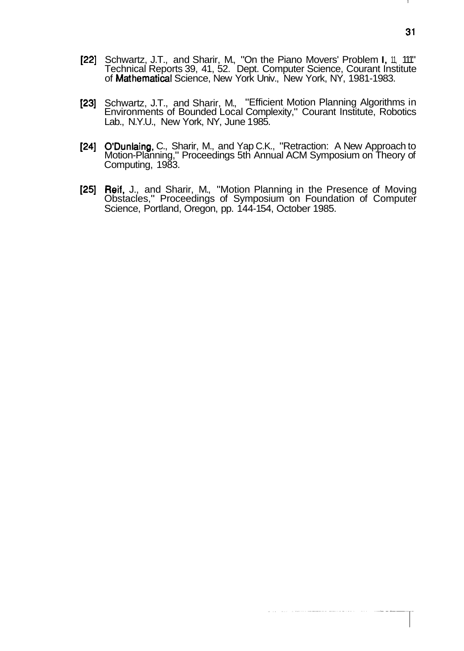- [22] Schwartz, J.T., and Sharir, M., "On the Piano Movers' Problem I, 11, 111" Technical Reports 39, 41, 52. Dept. Computer Science, Courant Institute of Mathematical Science, New York Univ., New York, NY, 1981-1983.
- [23] Schwartz, J.T., and Sharir, M., "Efficient Motion Planning Algorithms in Environments of Bounded Local Complexity," Courant Institute, Robotics Lab., N.Y.U., New York, NY, June 1985.
- [24] O'Dunlaing, C., Sharir, M., and Yap C.K., "Retraction: A New Approach to Motion-Planning," Proceedings 5th Annual ACM Symposium on Theory of Computing, 1983.
- [25] Reif, J., and Sharir, M., "Motion Planning in the Presence of Moving Obstacles," Proceedings of Symposium on Foundation of Computer Science, Portland, Oregon, pp. 144-154, October 1985.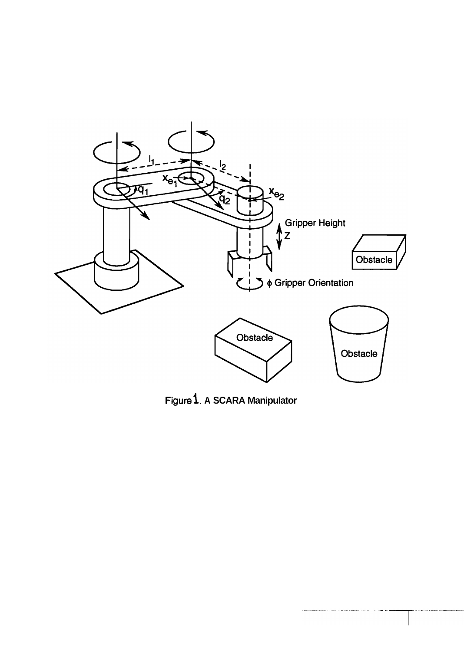

**~i~ure 1. A SCARA Manipulator**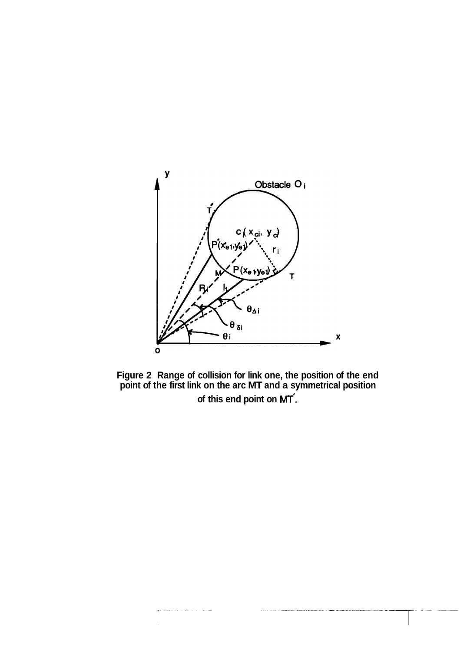

**Figure 2 Range of collision for link one, the position of the end point of the first link on the arc MT and a symmetrical position of this end point on** MT'.

لتبدأ والأواسيس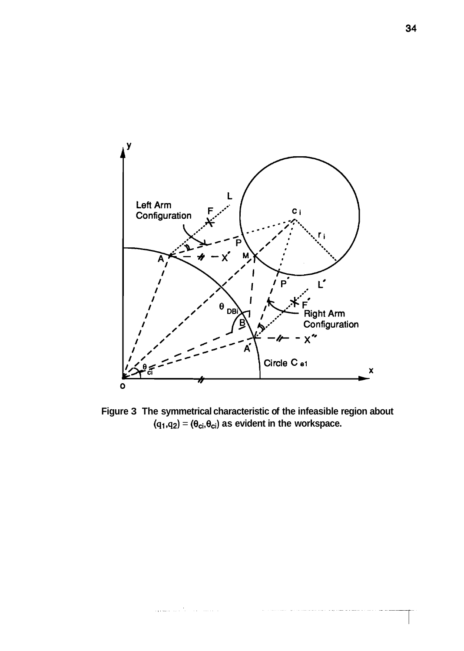

**Figure 3 The symmetrical characteristic of the infeasible region about**   $(q_1,q_2) = (\theta_{ci},\theta_{ci})$  as evident in the workspace.

والمتاريب والمستوي والدا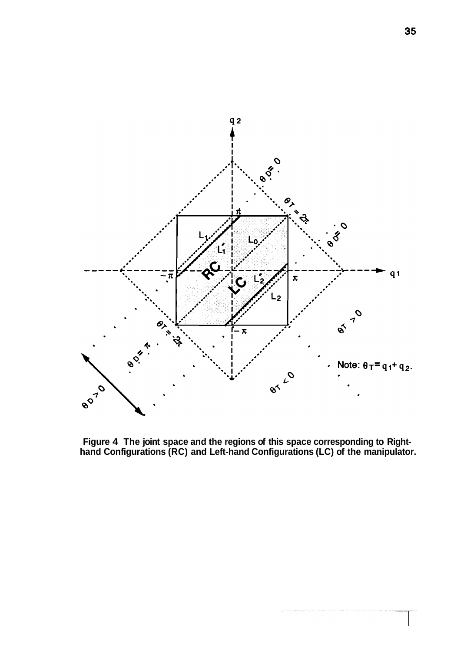

**Figure 4 The joint space and the regions of this space corresponding to Righthand Configurations (RC) and Left-hand Configurations (LC) of the manipulator.**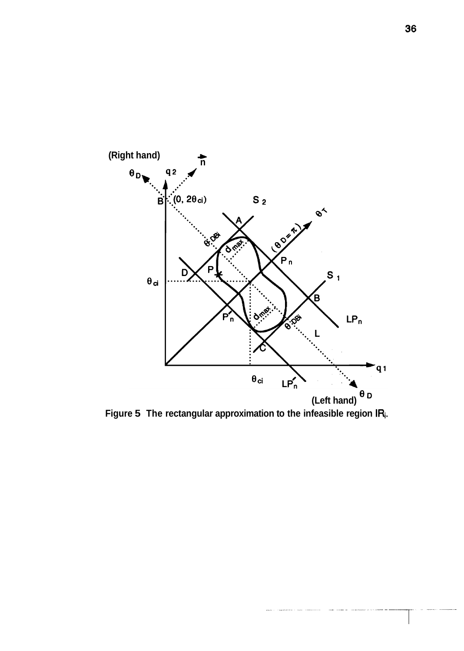

Figure 5 The rectangular approximation to the infeasible region IR<sub>i</sub>.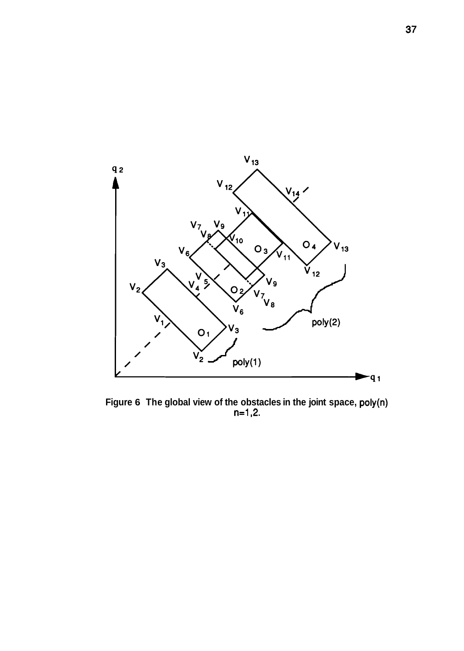

**Figure 6 The global view of the obstacles in the joint space, poly(n) n=1,2.**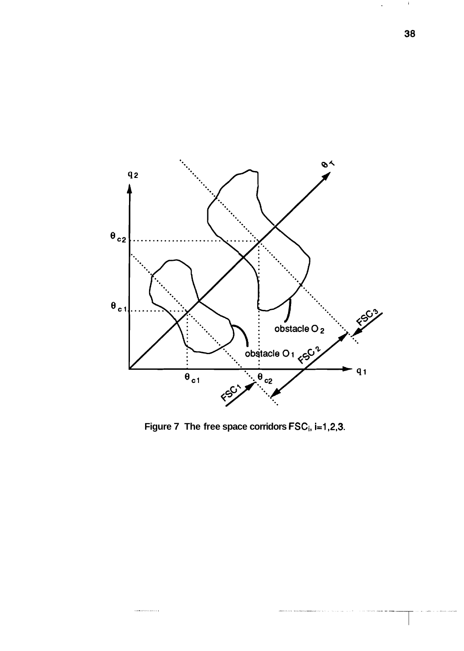

Figure 7 The free space corridors FSC<sub>i</sub>, i=1,2,3.

.<br>The matrix of

 $\mathbf{I}$